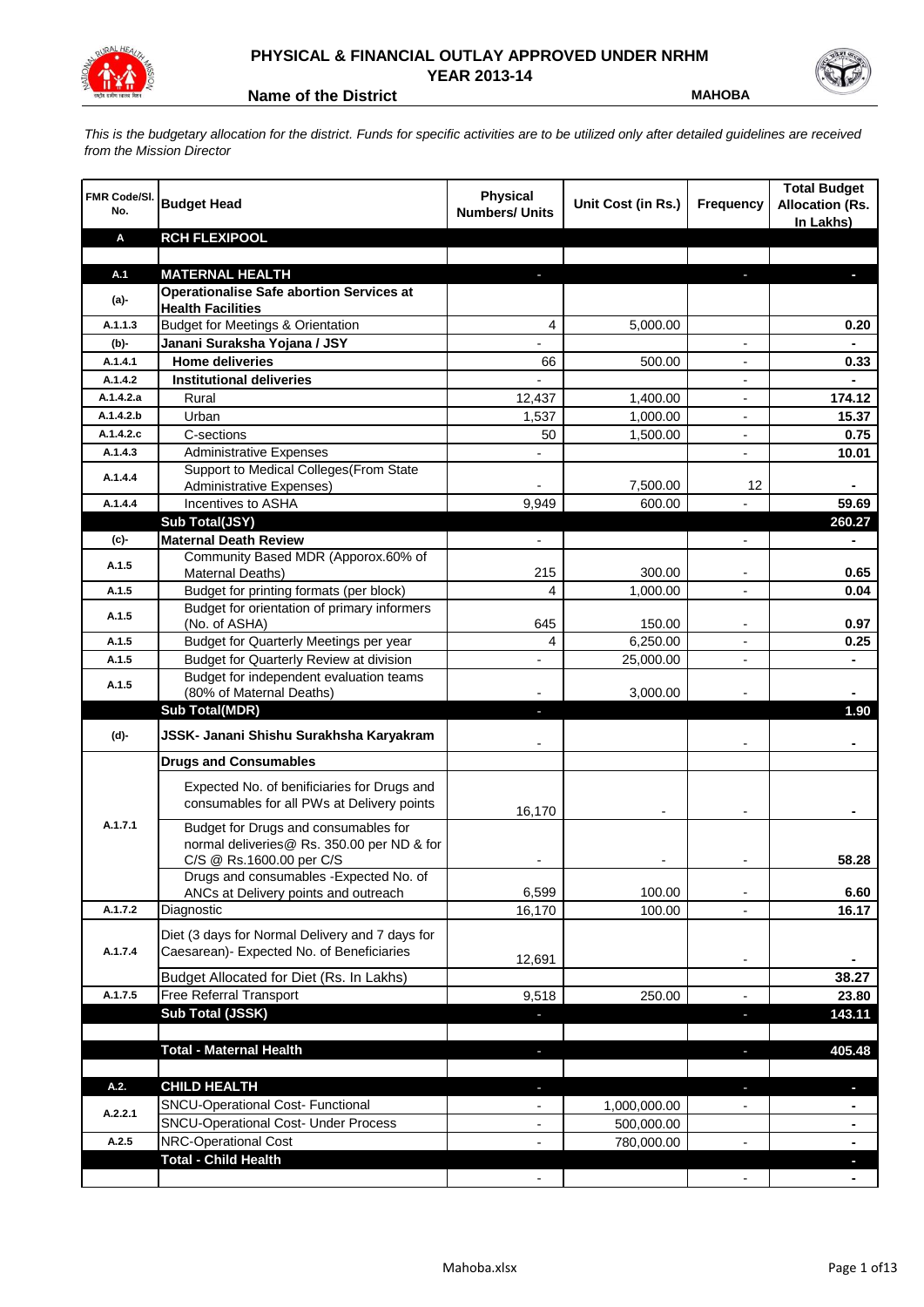

## **PHYSICAL & FINANCIAL OUTLAY APPROVED UNDER NRHM YEAR 2013-14**

**Name of the District MAHOBA** 

*This is the budgetary allocation for the district. Funds for specific activities are to be utilized only after detailed guidelines are received from the Mission Director*

| <b>FMR Code/SI.</b><br>No. | <b>Budget Head</b>                                                                                             | <b>Physical</b><br><b>Numbers/ Units</b> | Unit Cost (in Rs.) | <b>Frequency</b>         | <b>Total Budget</b><br><b>Allocation (Rs.</b><br>In Lakhs) |
|----------------------------|----------------------------------------------------------------------------------------------------------------|------------------------------------------|--------------------|--------------------------|------------------------------------------------------------|
| A                          | <b>RCH FLEXIPOOL</b>                                                                                           |                                          |                    |                          |                                                            |
|                            |                                                                                                                |                                          |                    |                          |                                                            |
| A.1                        | <b>MATERNAL HEALTH</b>                                                                                         |                                          |                    |                          |                                                            |
| $(a)$ -                    | <b>Operationalise Safe abortion Services at</b>                                                                |                                          |                    |                          |                                                            |
| A.1.1.3                    | <b>Health Facilities</b><br><b>Budget for Meetings &amp; Orientation</b>                                       | 4                                        | 5,000.00           |                          | 0.20                                                       |
| (b)-                       | Janani Suraksha Yojana / JSY                                                                                   | $\overline{a}$                           |                    | $\overline{\phantom{a}}$ | ۰                                                          |
| A.1.4.1                    | <b>Home deliveries</b>                                                                                         | 66                                       | 500.00             | $\overline{\phantom{a}}$ | 0.33                                                       |
| A.1.4.2                    | <b>Institutional deliveries</b>                                                                                |                                          |                    |                          |                                                            |
| A.1.4.2.a                  | Rural                                                                                                          | 12,437                                   | 1,400.00           |                          | 174.12                                                     |
| A.1.4.2.b                  | Urban                                                                                                          | 1,537                                    | 1,000.00           | $\blacksquare$           | 15.37                                                      |
| A.1.4.2.c                  | C-sections                                                                                                     | 50                                       | 1,500.00           |                          | 0.75                                                       |
| A.1.4.3                    | <b>Administrative Expenses</b>                                                                                 |                                          |                    |                          | 10.01                                                      |
| A.1.4.4                    | Support to Medical Colleges (From State                                                                        |                                          |                    |                          |                                                            |
|                            | <b>Administrative Expenses)</b>                                                                                |                                          | 7,500.00           | 12                       |                                                            |
| A.1.4.4                    | Incentives to ASHA                                                                                             | 9,949                                    | 600.00             | $\overline{\phantom{a}}$ | 59.69                                                      |
|                            | <b>Sub Total(JSY)</b>                                                                                          |                                          |                    |                          | 260.27                                                     |
| $(c)$ -                    | <b>Maternal Death Review</b>                                                                                   | $\overline{\phantom{a}}$                 |                    | $\blacksquare$           | ä,                                                         |
| A.1.5                      | Community Based MDR (Apporox.60% of<br>Maternal Deaths)                                                        | 215                                      | 300.00             |                          | 0.65                                                       |
| A.1.5                      | Budget for printing formats (per block)                                                                        | 4                                        | 1,000.00           | $\overline{a}$           | 0.04                                                       |
| A.1.5                      | Budget for orientation of primary informers<br>(No. of ASHA)                                                   | 645                                      | 150.00             | $\overline{\phantom{a}}$ | 0.97                                                       |
| A.1.5                      | Budget for Quarterly Meetings per year                                                                         | 4                                        | 6,250.00           | $\overline{\phantom{a}}$ | 0.25                                                       |
| A.1.5                      | Budget for Quarterly Review at division                                                                        | $\overline{\phantom{a}}$                 | 25,000.00          | $\overline{\phantom{a}}$ | ۰                                                          |
| A.1.5                      | Budget for independent evaluation teams<br>(80% of Maternal Deaths)                                            |                                          | 3,000.00           |                          |                                                            |
|                            | <b>Sub Total(MDR)</b>                                                                                          |                                          |                    |                          | 1.90                                                       |
| (d)-                       | JSSK- Janani Shishu Surakhsha Karyakram                                                                        |                                          |                    |                          |                                                            |
|                            | <b>Drugs and Consumables</b>                                                                                   |                                          |                    |                          |                                                            |
|                            | Expected No. of benificiaries for Drugs and<br>consumables for all PWs at Delivery points                      | 16,170                                   |                    |                          |                                                            |
| A.1.7.1                    | Budget for Drugs and consumables for<br>normal deliveries@ Rs. 350.00 per ND & for<br>C/S @ Rs.1600.00 per C/S |                                          |                    |                          | 58.28                                                      |
|                            | Drugs and consumables - Expected No. of                                                                        |                                          |                    |                          |                                                            |
|                            | ANCs at Delivery points and outreach                                                                           | 6,599                                    | 100.00             |                          | 6.60                                                       |
| A.1.7.2                    | Diagnostic                                                                                                     | 16,170                                   | 100.00             |                          | 16.17                                                      |
| A.1.7.4                    | Diet (3 days for Normal Delivery and 7 days for<br>Caesarean)- Expected No. of Beneficiaries                   | 12,691                                   |                    | $\overline{a}$           |                                                            |
|                            | Budget Allocated for Diet (Rs. In Lakhs)                                                                       |                                          |                    |                          | 38.27                                                      |
| A.1.7.5                    | Free Referral Transport                                                                                        | 9,518                                    | 250.00             | $\blacksquare$           | 23.80                                                      |
|                            | Sub Total (JSSK)                                                                                               | $\sim$                                   |                    | $\overline{\phantom{a}}$ | 143.11                                                     |
|                            |                                                                                                                |                                          |                    |                          |                                                            |
|                            | <b>Total - Maternal Health</b>                                                                                 | ٠                                        |                    | o,                       | 405.48                                                     |
| A.2.                       | <b>CHILD HEALTH</b>                                                                                            | ٠                                        |                    | ٠                        | ٠                                                          |
|                            | SNCU-Operational Cost- Functional                                                                              | $\overline{\phantom{a}}$                 | 1,000,000.00       | $\overline{\phantom{a}}$ | ۰                                                          |
| A.2.2.1                    | <b>SNCU-Operational Cost- Under Process</b>                                                                    | $\overline{\phantom{a}}$                 | 500,000.00         |                          | ۰                                                          |
| A.2.5                      | NRC-Operational Cost                                                                                           |                                          | 780,000.00         |                          |                                                            |
|                            | <b>Total - Child Health</b>                                                                                    |                                          |                    |                          |                                                            |
|                            |                                                                                                                |                                          |                    |                          | ٠                                                          |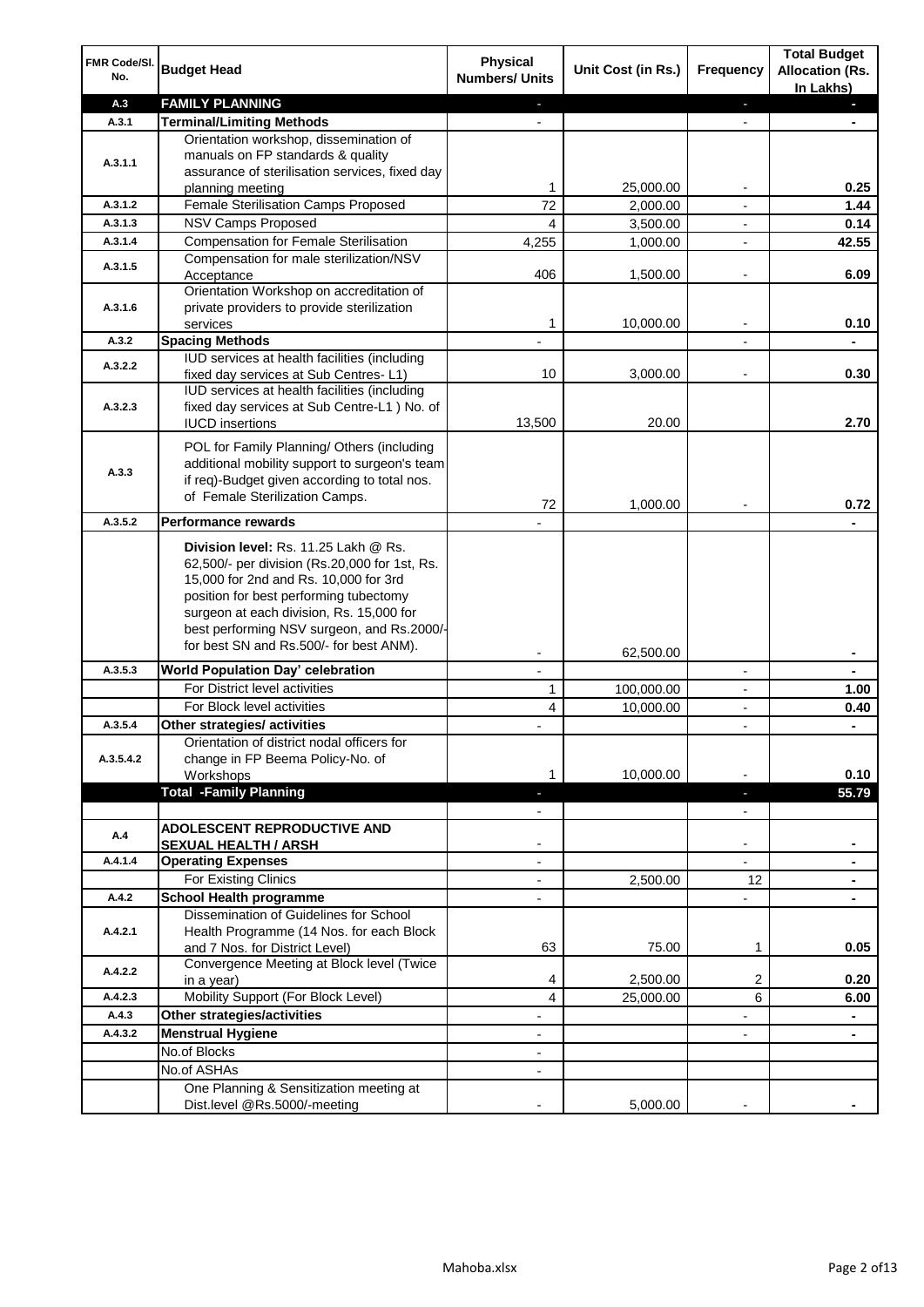| FMR Code/SI.<br>No.  | <b>Budget Head</b>                                                                                                                                                                                                                                                                                            | <b>Physical</b><br><b>Numbers/ Units</b> | Unit Cost (in Rs.) | <b>Frequency</b>         | <b>Total Budget</b><br><b>Allocation (Rs.</b><br>In Lakhs) |
|----------------------|---------------------------------------------------------------------------------------------------------------------------------------------------------------------------------------------------------------------------------------------------------------------------------------------------------------|------------------------------------------|--------------------|--------------------------|------------------------------------------------------------|
| A.3                  | <b>FAMILY PLANNING</b>                                                                                                                                                                                                                                                                                        | $\sim$                                   |                    | $\blacksquare$           | $\sim$                                                     |
| A.3.1                | <b>Terminal/Limiting Methods</b>                                                                                                                                                                                                                                                                              |                                          |                    |                          |                                                            |
| A.3.1.1              | Orientation workshop, dissemination of<br>manuals on FP standards & quality<br>assurance of sterilisation services, fixed day<br>planning meeting                                                                                                                                                             | 1                                        | 25,000.00          | $\overline{\phantom{a}}$ | 0.25                                                       |
| A.3.1.2              | Female Sterilisation Camps Proposed                                                                                                                                                                                                                                                                           | 72                                       | 2,000.00           |                          | 1.44                                                       |
| A.3.1.3              | <b>NSV Camps Proposed</b>                                                                                                                                                                                                                                                                                     | 4                                        | 3,500.00           |                          | 0.14                                                       |
| A.3.1.4              | <b>Compensation for Female Sterilisation</b>                                                                                                                                                                                                                                                                  | 4,255                                    | 1,000.00           | $\overline{\phantom{a}}$ | 42.55                                                      |
| A.3.1.5              | Compensation for male sterilization/NSV                                                                                                                                                                                                                                                                       |                                          |                    |                          |                                                            |
|                      | Acceptance<br>Orientation Workshop on accreditation of                                                                                                                                                                                                                                                        | 406                                      | 1,500.00           |                          | 6.09                                                       |
| A.3.1.6              | private providers to provide sterilization                                                                                                                                                                                                                                                                    | 1                                        |                    | $\blacksquare$           |                                                            |
|                      | services                                                                                                                                                                                                                                                                                                      |                                          | 10,000.00          |                          | 0.10<br>ä,                                                 |
| A.3.2                | <b>Spacing Methods</b><br>IUD services at health facilities (including                                                                                                                                                                                                                                        |                                          |                    |                          |                                                            |
| A.3.2.2              | fixed day services at Sub Centres-L1)                                                                                                                                                                                                                                                                         | 10                                       | 3,000.00           | $\overline{\phantom{a}}$ | 0.30                                                       |
| A.3.2.3              | IUD services at health facilities (including<br>fixed day services at Sub Centre-L1 ) No. of<br><b>IUCD</b> insertions                                                                                                                                                                                        | 13,500                                   | 20.00              |                          | 2.70                                                       |
| A.3.3                | POL for Family Planning/ Others (including<br>additional mobility support to surgeon's team<br>if req)-Budget given according to total nos.<br>of Female Sterilization Camps.                                                                                                                                 | 72                                       | 1,000.00           |                          | 0.72                                                       |
| A.3.5.2              | <b>Performance rewards</b>                                                                                                                                                                                                                                                                                    |                                          |                    |                          |                                                            |
|                      | Division level: Rs. 11.25 Lakh @ Rs.<br>62,500/- per division (Rs.20,000 for 1st, Rs.<br>15,000 for 2nd and Rs. 10,000 for 3rd<br>position for best performing tubectomy<br>surgeon at each division, Rs. 15,000 for<br>best performing NSV surgeon, and Rs.2000/-<br>for best SN and Rs.500/- for best ANM). |                                          |                    |                          |                                                            |
|                      |                                                                                                                                                                                                                                                                                                               |                                          | 62,500.00          |                          | ۰                                                          |
| A.3.5.3              | World Population Day' celebration                                                                                                                                                                                                                                                                             |                                          |                    |                          |                                                            |
|                      | For District level activities                                                                                                                                                                                                                                                                                 | 1                                        | 100,000.00         |                          | 1.00                                                       |
|                      | For Block level activities                                                                                                                                                                                                                                                                                    | 4                                        | 10,000.00          | $\blacksquare$           | 0.40                                                       |
| A.3.5.4<br>A.3.5.4.2 | Other strategies/ activities<br>Orientation of district nodal officers for<br>change in FP Beema Policy-No. of<br>Workshops                                                                                                                                                                                   | 1                                        | 10,000.00          |                          | 0.10                                                       |
|                      | <b>Total -Family Planning</b>                                                                                                                                                                                                                                                                                 | $\overline{\phantom{a}}$                 |                    | ٠                        | 55.79                                                      |
|                      |                                                                                                                                                                                                                                                                                                               | $\overline{\phantom{a}}$                 |                    | $\overline{\phantom{a}}$ |                                                            |
| A.4                  | ADOLESCENT REPRODUCTIVE AND<br><b>SEXUAL HEALTH / ARSH</b>                                                                                                                                                                                                                                                    |                                          |                    | $\blacksquare$           |                                                            |
| A.4.1.4              | <b>Operating Expenses</b>                                                                                                                                                                                                                                                                                     |                                          |                    |                          |                                                            |
|                      | For Existing Clinics                                                                                                                                                                                                                                                                                          | $\blacksquare$                           | 2,500.00           | 12                       | ۰                                                          |
| A.4.2                | <b>School Health programme</b>                                                                                                                                                                                                                                                                                | $\blacksquare$                           |                    | $\overline{a}$           |                                                            |
| A.4.2.1              | Dissemination of Guidelines for School<br>Health Programme (14 Nos. for each Block<br>and 7 Nos. for District Level)                                                                                                                                                                                          | 63                                       | 75.00              | 1                        | 0.05                                                       |
| A.4.2.2              | Convergence Meeting at Block level (Twice<br>in a year)                                                                                                                                                                                                                                                       | 4                                        | 2,500.00           | 2                        | 0.20                                                       |
| A.4.2.3              | Mobility Support (For Block Level)                                                                                                                                                                                                                                                                            | 4                                        | 25,000.00          | 6                        | 6.00                                                       |
| A.4.3                | Other strategies/activities                                                                                                                                                                                                                                                                                   | $\overline{\phantom{a}}$                 |                    | -                        | ۰                                                          |
| A.4.3.2              | <b>Menstrual Hygiene</b>                                                                                                                                                                                                                                                                                      | -                                        |                    | ٠                        | ۰                                                          |
|                      | No.of Blocks                                                                                                                                                                                                                                                                                                  |                                          |                    |                          |                                                            |
|                      | No.of ASHAs                                                                                                                                                                                                                                                                                                   | $\overline{\phantom{a}}$                 |                    |                          |                                                            |
|                      | One Planning & Sensitization meeting at                                                                                                                                                                                                                                                                       |                                          |                    |                          |                                                            |
|                      | Dist.level @Rs.5000/-meeting                                                                                                                                                                                                                                                                                  |                                          | 5,000.00           |                          |                                                            |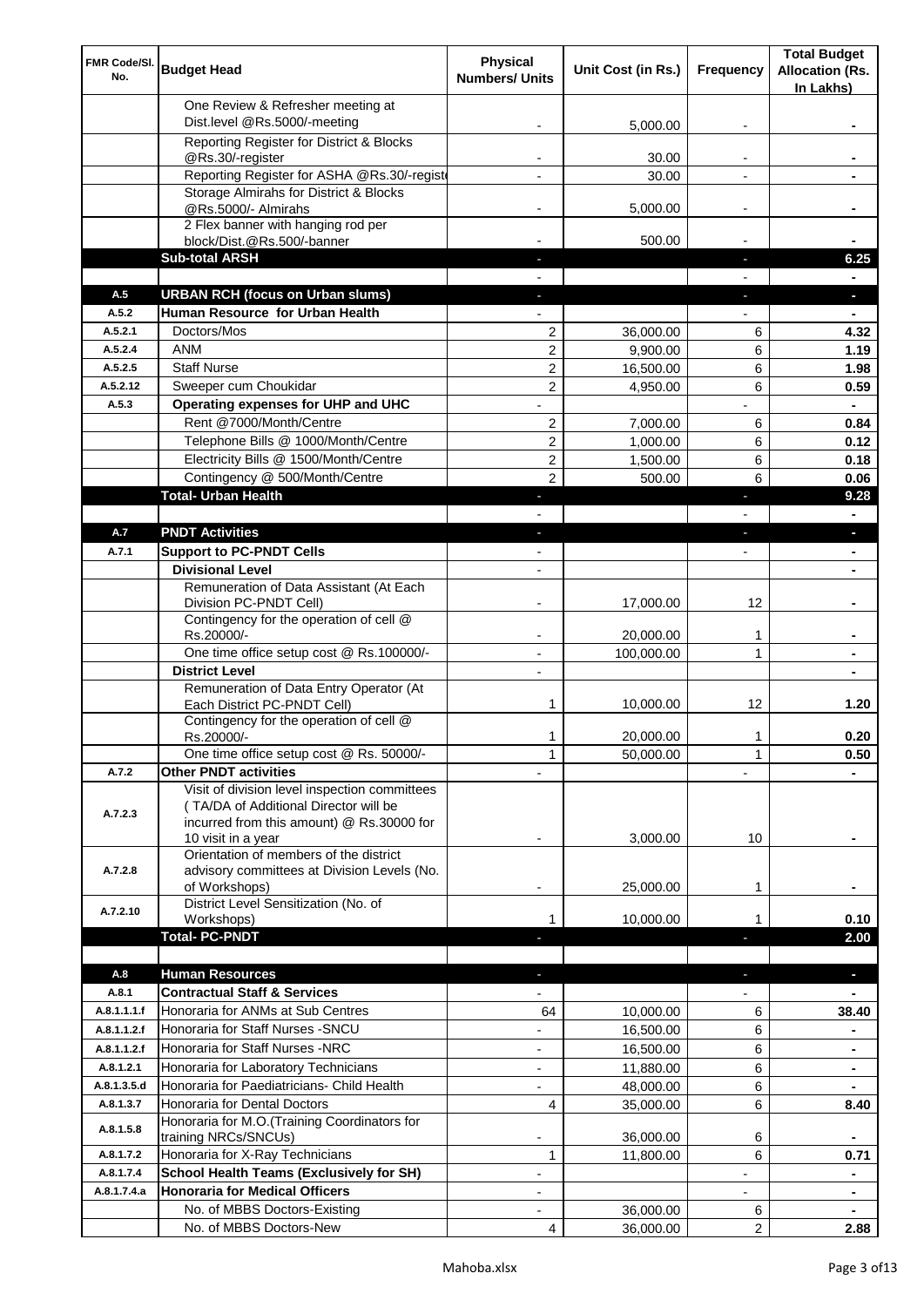| FMR Code/SI.<br>No. | <b>Budget Head</b>                                                                                                                                        | Physical<br><b>Numbers/ Units</b> | Unit Cost (in Rs.) | <b>Frequency</b>         | <b>Total Budget</b><br><b>Allocation (Rs.</b><br>In Lakhs) |
|---------------------|-----------------------------------------------------------------------------------------------------------------------------------------------------------|-----------------------------------|--------------------|--------------------------|------------------------------------------------------------|
|                     | One Review & Refresher meeting at<br>Dist.level @Rs.5000/-meeting                                                                                         |                                   | 5,000.00           |                          |                                                            |
|                     | Reporting Register for District & Blocks                                                                                                                  |                                   |                    |                          |                                                            |
|                     | @Rs.30/-register                                                                                                                                          |                                   | 30.00              |                          |                                                            |
|                     | Reporting Register for ASHA @Rs.30/-regist                                                                                                                |                                   | 30.00              | $\blacksquare$           |                                                            |
|                     | Storage Almirahs for District & Blocks<br>@Rs.5000/- Almirahs                                                                                             |                                   | 5,000.00           | $\overline{a}$           |                                                            |
|                     | 2 Flex banner with hanging rod per                                                                                                                        |                                   |                    |                          |                                                            |
|                     | block/Dist.@Rs.500/-banner<br><b>Sub-total ARSH</b>                                                                                                       |                                   | 500.00             |                          | 6.25                                                       |
|                     |                                                                                                                                                           |                                   |                    |                          |                                                            |
| A.5                 | <b>URBAN RCH (focus on Urban slums)</b>                                                                                                                   |                                   |                    |                          | н.                                                         |
| A.5.2               | Human Resource for Urban Health                                                                                                                           |                                   |                    |                          |                                                            |
| A.5.2.1             | Doctors/Mos                                                                                                                                               | $\overline{2}$                    | 36,000.00          | 6                        | 4.32                                                       |
| A.5.2.4             | <b>ANM</b>                                                                                                                                                | $\overline{c}$                    | 9,900.00           | 6                        | 1.19                                                       |
| A.5.2.5             | <b>Staff Nurse</b>                                                                                                                                        | $\overline{c}$                    | 16,500.00          | 6                        | 1.98                                                       |
| A.5.2.12            | Sweeper cum Choukidar                                                                                                                                     | $\overline{2}$                    | 4,950.00           | 6                        | 0.59                                                       |
| A.5.3               | Operating expenses for UHP and UHC                                                                                                                        |                                   |                    |                          | ÷.                                                         |
|                     | Rent @7000/Month/Centre                                                                                                                                   | 2                                 | 7,000.00           | 6                        | 0.84                                                       |
|                     | Telephone Bills @ 1000/Month/Centre                                                                                                                       | 2                                 | 1,000.00           | 6                        | 0.12                                                       |
|                     | Electricity Bills @ 1500/Month/Centre                                                                                                                     | 2                                 | 1,500.00           | 6                        | 0.18                                                       |
|                     | Contingency @ 500/Month/Centre                                                                                                                            | $\overline{2}$                    | 500.00             | 6                        | 0.06                                                       |
|                     | <b>Total- Urban Health</b>                                                                                                                                | a.                                |                    | J,                       | 9.28                                                       |
|                     |                                                                                                                                                           |                                   |                    | $\overline{\phantom{a}}$ | $\blacksquare$                                             |
| A.7                 | <b>PNDT Activities</b>                                                                                                                                    | $\blacksquare$                    |                    | J,                       | ٠                                                          |
| A.7.1               | <b>Support to PC-PNDT Cells</b><br><b>Divisional Level</b>                                                                                                | $\blacksquare$                    |                    | $\blacksquare$           | ٠                                                          |
|                     | Remuneration of Data Assistant (At Each                                                                                                                   | $\blacksquare$                    |                    |                          | $\blacksquare$                                             |
|                     | Division PC-PNDT Cell)                                                                                                                                    |                                   | 17,000.00          | 12                       |                                                            |
|                     | Contingency for the operation of cell @<br>Rs.20000/-                                                                                                     | $\overline{\phantom{a}}$          | 20,000.00          | 1                        |                                                            |
|                     | One time office setup cost @ Rs.100000/-                                                                                                                  | $\overline{\phantom{a}}$          | 100,000.00         | 1                        | ۰                                                          |
|                     | <b>District Level</b>                                                                                                                                     |                                   |                    |                          |                                                            |
|                     | Remuneration of Data Entry Operator (At                                                                                                                   |                                   |                    |                          |                                                            |
|                     | Each District PC-PNDT Cell)<br>Contingency for the operation of cell @                                                                                    | 1                                 | 10,000.00          | 12                       | 1.20                                                       |
|                     | Rs.20000/-                                                                                                                                                | 1                                 | 20,000.00          |                          | 0.20                                                       |
|                     | One time office setup cost @ Rs. 50000/-                                                                                                                  | 1                                 | 50,000.00          | 1                        | 0.50                                                       |
| A.7.2               | <b>Other PNDT activities</b>                                                                                                                              |                                   |                    |                          |                                                            |
| A.7.2.3             | Visit of division level inspection committees<br>(TA/DA of Additional Director will be<br>incurred from this amount) @ Rs.30000 for<br>10 visit in a year |                                   | 3,000.00           | 10                       |                                                            |
| A.7.2.8             | Orientation of members of the district<br>advisory committees at Division Levels (No.<br>of Workshops)                                                    | $\overline{\phantom{a}}$          | 25,000.00          | 1                        |                                                            |
| A.7.2.10            | District Level Sensitization (No. of<br>Workshops)                                                                                                        |                                   | 10,000.00          | 1                        | 0.10                                                       |
|                     | <b>Total- PC-PNDT</b>                                                                                                                                     |                                   |                    |                          | 2.00                                                       |
|                     |                                                                                                                                                           |                                   |                    |                          |                                                            |
| A.8                 | <b>Human Resources</b>                                                                                                                                    |                                   |                    |                          | ٠                                                          |
| A.8.1               | <b>Contractual Staff &amp; Services</b>                                                                                                                   |                                   |                    |                          |                                                            |
| A.8.1.1.1.f         | Honoraria for ANMs at Sub Centres                                                                                                                         | 64                                | 10,000.00          | 6                        | 38.40                                                      |
| A.8.1.1.2.f         | Honoraria for Staff Nurses - SNCU                                                                                                                         |                                   | 16,500.00          | 6                        |                                                            |
| A.8.1.1.2.f         | Honoraria for Staff Nurses -NRC                                                                                                                           |                                   | 16,500.00          | 6                        | ۰                                                          |
| A.8.1.2.1           | Honoraria for Laboratory Technicians                                                                                                                      |                                   | 11,880.00          | 6                        | ۰                                                          |
| A.8.1.3.5.d         | Honoraria for Paediatricians- Child Health                                                                                                                |                                   | 48,000.00          | 6                        |                                                            |
| A.8.1.3.7           | Honoraria for Dental Doctors                                                                                                                              | 4                                 | 35,000.00          | 6                        | 8.40                                                       |
| A.8.1.5.8           | Honoraria for M.O.(Training Coordinators for<br>training NRCs/SNCUs)                                                                                      |                                   | 36,000.00          | 6                        |                                                            |
| A.8.1.7.2           | Honoraria for X-Ray Technicians                                                                                                                           | 1                                 | 11,800.00          | 6                        | 0.71                                                       |
| A.8.1.7.4           | <b>School Health Teams (Exclusively for SH)</b>                                                                                                           | ۰                                 |                    | -                        | ۰                                                          |
| A.8.1.7.4.a         | <b>Honoraria for Medical Officers</b>                                                                                                                     | $\overline{\phantom{a}}$          |                    |                          | ٠                                                          |
|                     | No. of MBBS Doctors-Existing                                                                                                                              | $\overline{\phantom{0}}$          | 36,000.00          | 6                        |                                                            |
|                     | No. of MBBS Doctors-New                                                                                                                                   | 4                                 | 36,000.00          | $\overline{2}$           | 2.88                                                       |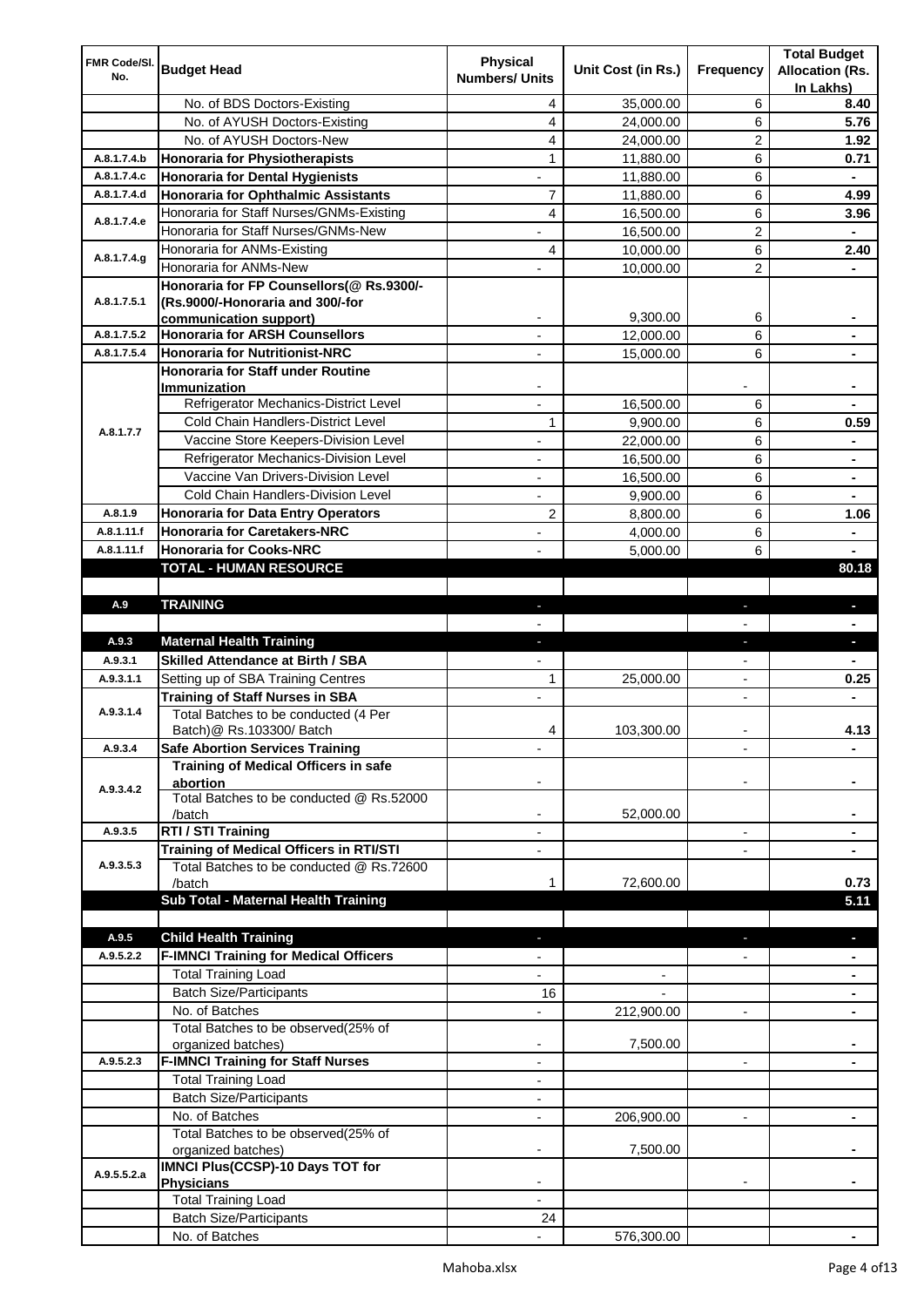| FMR Code/SI. | <b>Budget Head</b>                                                            | <b>Physical</b>          |                        |                          | <b>Total Budget</b>    |
|--------------|-------------------------------------------------------------------------------|--------------------------|------------------------|--------------------------|------------------------|
| No.          |                                                                               | <b>Numbers/ Units</b>    | Unit Cost (in Rs.)     | Frequency                | <b>Allocation (Rs.</b> |
|              |                                                                               |                          |                        |                          | In Lakhs)              |
|              | No. of BDS Doctors-Existing                                                   | 4<br>4                   | 35,000.00              | 6                        | 8.40                   |
|              | No. of AYUSH Doctors-Existing<br>No. of AYUSH Doctors-New                     | 4                        | 24,000.00              | 6                        | 5.76                   |
| A.8.1.7.4.b  |                                                                               | 1                        | 24,000.00              | 2                        | 1.92                   |
| A.8.1.7.4.c  | Honoraria for Physiotherapists                                                |                          | 11,880.00              | 6<br>6                   | 0.71                   |
| A.8.1.7.4.d  | <b>Honoraria for Dental Hygienists</b><br>Honoraria for Ophthalmic Assistants | 7                        | 11,880.00              | 6                        |                        |
|              | Honoraria for Staff Nurses/GNMs-Existing                                      | 4                        | 11,880.00              | 6                        | 4.99                   |
| A.8.1.7.4.e  | Honoraria for Staff Nurses/GNMs-New                                           |                          | 16,500.00              | $\overline{\mathbf{c}}$  | 3.96                   |
|              |                                                                               | 4                        | 16,500.00              | 6                        | 2.40                   |
| A.8.1.7.4.g  | Honoraria for ANMs-Existing<br>Honoraria for ANMs-New                         |                          | 10,000.00<br>10,000.00 | $\overline{c}$           |                        |
|              | Honoraria for FP Counsellors(@ Rs.9300/-                                      |                          |                        |                          |                        |
| A.8.1.7.5.1  | (Rs.9000/-Honoraria and 300/-for                                              |                          |                        |                          |                        |
|              | communication support)                                                        | $\overline{\phantom{a}}$ | 9,300.00               | 6                        |                        |
| A.8.1.7.5.2  | <b>Honoraria for ARSH Counsellors</b>                                         | $\overline{a}$           | 12,000.00              | 6                        | ۰                      |
| A.8.1.7.5.4  | <b>Honoraria for Nutritionist-NRC</b>                                         |                          | 15,000.00              | 6                        |                        |
|              | <b>Honoraria for Staff under Routine</b>                                      |                          |                        |                          |                        |
|              | Immunization                                                                  |                          |                        |                          |                        |
|              | Refrigerator Mechanics-District Level                                         |                          | 16.500.00              | 6                        |                        |
| A.8.1.7.7    | Cold Chain Handlers-District Level                                            | 1                        | 9,900.00               | 6                        | 0.59                   |
|              | Vaccine Store Keepers-Division Level                                          |                          | 22,000.00              | 6                        |                        |
|              | Refrigerator Mechanics-Division Level                                         | $\blacksquare$           | 16,500.00              | 6                        | $\blacksquare$         |
|              | Vaccine Van Drivers-Division Level                                            | $\overline{\phantom{a}}$ | 16,500.00              | 6                        | ۰                      |
|              | Cold Chain Handlers-Division Level                                            | $\blacksquare$           | 9,900.00               | 6                        | ۰                      |
| A.8.1.9      | <b>Honoraria for Data Entry Operators</b>                                     | 2                        | 8,800.00               | 6                        | 1.06                   |
| A.8.1.11.f   | <b>Honoraria for Caretakers-NRC</b>                                           | $\blacksquare$           | 4,000.00               | 6                        | ä,                     |
| A.8.1.11.f   | <b>Honoraria for Cooks-NRC</b>                                                |                          | 5,000.00               | 6                        |                        |
|              | <b>TOTAL - HUMAN RESOURCE</b>                                                 |                          |                        |                          | 80.18                  |
|              |                                                                               |                          |                        |                          |                        |
| A.9          | <b>TRAINING</b>                                                               | ٠                        |                        | ٠                        | ٠                      |
|              |                                                                               |                          |                        |                          |                        |
| A.9.3        | <b>Maternal Health Training</b>                                               | ٠                        |                        | ٠                        | ٠                      |
| A.9.3.1      | <b>Skilled Attendance at Birth / SBA</b>                                      |                          |                        |                          |                        |
| A.9.3.1.1    | Setting up of SBA Training Centres                                            | 1                        | 25,000.00              | $\overline{\phantom{0}}$ | 0.25                   |
|              | <b>Training of Staff Nurses in SBA</b>                                        | $\blacksquare$           |                        |                          |                        |
| A.9.3.1.4    | Total Batches to be conducted (4 Per<br>Batch)@ Rs.103300/ Batch              | 4                        | 103,300.00             |                          | 4.13                   |
| A.9.3.4      | <b>Safe Abortion Services Training</b>                                        |                          |                        |                          |                        |
|              | Training of Medical Officers in safe                                          |                          |                        |                          |                        |
|              | abortion                                                                      |                          |                        |                          |                        |
| A.9.3.4.2    | Total Batches to be conducted @ Rs.52000                                      |                          |                        |                          |                        |
|              | /batch                                                                        |                          | 52,000.00              |                          |                        |
| A.9.3.5      | RTI / STI Training                                                            |                          |                        | $\overline{\phantom{a}}$ |                        |
|              | <b>Training of Medical Officers in RTI/STI</b>                                |                          |                        |                          |                        |
| A.9.3.5.3    | Total Batches to be conducted @ Rs.72600                                      |                          |                        |                          |                        |
|              | /batch                                                                        | 1                        | 72,600.00              |                          | 0.73                   |
|              | Sub Total - Maternal Health Training                                          |                          |                        |                          | 5.11                   |
|              |                                                                               |                          |                        |                          |                        |
| A.9.5        | <b>Child Health Training</b>                                                  |                          |                        |                          |                        |
| A.9.5.2.2    | <b>F-IMNCI Training for Medical Officers</b>                                  |                          |                        |                          |                        |
|              | <b>Total Training Load</b><br><b>Batch Size/Participants</b>                  |                          |                        |                          |                        |
|              |                                                                               | 16                       |                        |                          |                        |
|              | No. of Batches<br>Total Batches to be observed(25% of                         |                          | 212,900.00             |                          |                        |
|              | organized batches)                                                            | $\blacksquare$           | 7,500.00               |                          |                        |
| A.9.5.2.3    | <b>F-IMNCI Training for Staff Nurses</b>                                      | $\overline{\phantom{a}}$ |                        | $\overline{\phantom{a}}$ | $\blacksquare$         |
|              | <b>Total Training Load</b>                                                    | $\overline{\phantom{a}}$ |                        |                          |                        |
|              | <b>Batch Size/Participants</b>                                                | $\overline{\phantom{a}}$ |                        |                          |                        |
|              | No. of Batches                                                                | $\overline{\phantom{a}}$ | 206,900.00             |                          |                        |
|              | Total Batches to be observed(25% of                                           |                          |                        |                          |                        |
|              | organized batches)                                                            |                          | 7,500.00               |                          |                        |
| A.9.5.5.2.a  | <b>IMNCI Plus(CCSP)-10 Days TOT for</b>                                       |                          |                        |                          |                        |
|              | <b>Physicians</b>                                                             |                          |                        |                          |                        |
|              | <b>Total Training Load</b>                                                    |                          |                        |                          |                        |
|              | <b>Batch Size/Participants</b>                                                | 24                       |                        |                          |                        |
|              | No. of Batches                                                                |                          | 576,300.00             |                          |                        |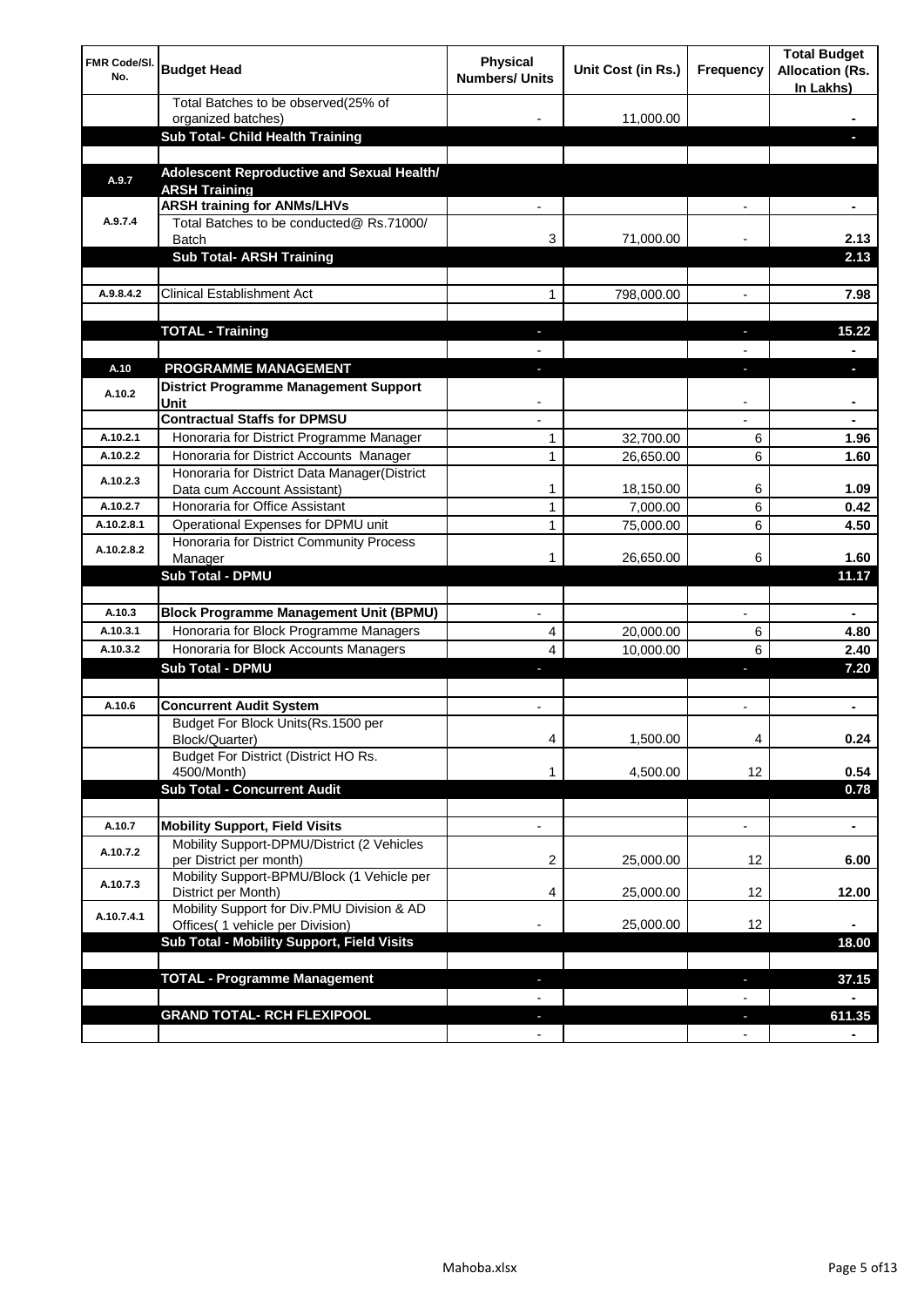| <b>FMR Code/SI.</b><br>No. | <b>Budget Head</b>                                                                  | Physical<br><b>Numbers/ Units</b> | Unit Cost (in Rs.) | Frequency                                            | <b>Total Budget</b><br><b>Allocation (Rs.</b><br>In Lakhs) |
|----------------------------|-------------------------------------------------------------------------------------|-----------------------------------|--------------------|------------------------------------------------------|------------------------------------------------------------|
|                            | Total Batches to be observed(25% of                                                 |                                   |                    |                                                      |                                                            |
|                            | organized batches)<br>Sub Total- Child Health Training                              |                                   | 11,000.00          |                                                      |                                                            |
|                            |                                                                                     |                                   |                    |                                                      |                                                            |
| A.9.7                      | Adolescent Reproductive and Sexual Health/<br><b>ARSH Training</b>                  |                                   |                    |                                                      |                                                            |
|                            | <b>ARSH training for ANMs/LHVs</b>                                                  |                                   |                    |                                                      |                                                            |
| A.9.7.4                    | Total Batches to be conducted@ Rs.71000/<br><b>Batch</b>                            | 3                                 | 71,000.00          |                                                      | 2.13                                                       |
|                            | <b>Sub Total- ARSH Training</b>                                                     |                                   |                    |                                                      | 2.13                                                       |
|                            |                                                                                     |                                   |                    |                                                      |                                                            |
| A.9.8.4.2                  | <b>Clinical Establishment Act</b>                                                   | 1                                 | 798,000.00         |                                                      | 7.98                                                       |
|                            | <b>TOTAL - Training</b>                                                             |                                   |                    |                                                      | 15.22                                                      |
|                            |                                                                                     |                                   |                    |                                                      |                                                            |
| A.10                       | <b>PROGRAMME MANAGEMENT</b>                                                         |                                   |                    |                                                      |                                                            |
| A.10.2                     | District Programme Management Support<br>Unit                                       |                                   |                    |                                                      |                                                            |
|                            | <b>Contractual Staffs for DPMSU</b>                                                 |                                   |                    |                                                      |                                                            |
| A.10.2.1                   | Honoraria for District Programme Manager                                            | 1                                 | 32,700.00          | 6                                                    | 1.96                                                       |
| A.10.2.2                   | Honoraria for District Accounts Manager                                             | 1                                 | 26,650.00          | 6                                                    | 1.60                                                       |
| A.10.2.3                   | Honoraria for District Data Manager(District<br>Data cum Account Assistant)         | 1                                 | 18,150.00          | 6                                                    | 1.09                                                       |
| A.10.2.7                   | Honoraria for Office Assistant                                                      | 1                                 | 7,000.00           | 6                                                    | 0.42                                                       |
| A.10.2.8.1                 | Operational Expenses for DPMU unit                                                  | 1                                 | 75,000.00          | 6                                                    | 4.50                                                       |
| A.10.2.8.2                 | Honoraria for District Community Process                                            |                                   |                    |                                                      | 1.60                                                       |
|                            | Manager<br><b>Sub Total - DPMU</b>                                                  | 1                                 | 26,650.00          | 6                                                    | 11.17                                                      |
|                            |                                                                                     |                                   |                    |                                                      |                                                            |
| A.10.3                     | <b>Block Programme Management Unit (BPMU)</b>                                       | $\blacksquare$                    |                    | $\overline{\phantom{a}}$                             | $\blacksquare$                                             |
| A.10.3.1                   | Honoraria for Block Programme Managers                                              | 4                                 | 20,000.00          | 6                                                    | 4.80                                                       |
| A.10.3.2                   | Honoraria for Block Accounts Managers                                               | 4                                 | 10,000.00          | 6                                                    | 2.40                                                       |
|                            | <b>Sub Total - DPMU</b>                                                             | J,                                |                    | J,                                                   | 7.20                                                       |
|                            |                                                                                     |                                   |                    |                                                      |                                                            |
| A.10.6                     | <b>Concurrent Audit System</b>                                                      | $\blacksquare$                    |                    | $\blacksquare$                                       | ۰                                                          |
|                            | Budget For Block Units(Rs.1500 per<br>Block/Quarter)                                | 4                                 | 1,500.00           | 4                                                    | 0.24                                                       |
|                            | Budget For District (District HO Rs.<br>4500/Month)                                 | 1                                 | 4,500.00           | 12                                                   | 0.54                                                       |
|                            | <b>Sub Total - Concurrent Audit</b>                                                 |                                   |                    |                                                      | 0.78                                                       |
|                            |                                                                                     |                                   |                    |                                                      |                                                            |
| A.10.7<br>A.10.7.2         | <b>Mobility Support, Field Visits</b><br>Mobility Support-DPMU/District (2 Vehicles | $\overline{\phantom{a}}$          |                    | $\overline{\phantom{a}}$                             | ۰                                                          |
|                            | per District per month)                                                             | 2                                 | 25,000.00          | 12                                                   | 6.00                                                       |
| A.10.7.3                   | Mobility Support-BPMU/Block (1 Vehicle per<br>District per Month)                   | 4                                 | 25,000.00          | 12                                                   | 12.00                                                      |
| A.10.7.4.1                 | Mobility Support for Div.PMU Division & AD<br>Offices( 1 vehicle per Division)      |                                   | 25,000.00          | 12                                                   |                                                            |
|                            | Sub Total - Mobility Support, Field Visits                                          |                                   |                    |                                                      | 18.00                                                      |
|                            |                                                                                     |                                   |                    |                                                      |                                                            |
|                            | <b>TOTAL - Programme Management</b>                                                 |                                   |                    | ı                                                    | 37.15                                                      |
|                            | <b>GRAND TOTAL- RCH FLEXIPOOL</b>                                                   |                                   |                    |                                                      |                                                            |
|                            |                                                                                     | ٠<br>$\blacksquare$               |                    | $\overline{\phantom{a}}$<br>$\overline{\phantom{a}}$ | 611.35                                                     |
|                            |                                                                                     |                                   |                    |                                                      |                                                            |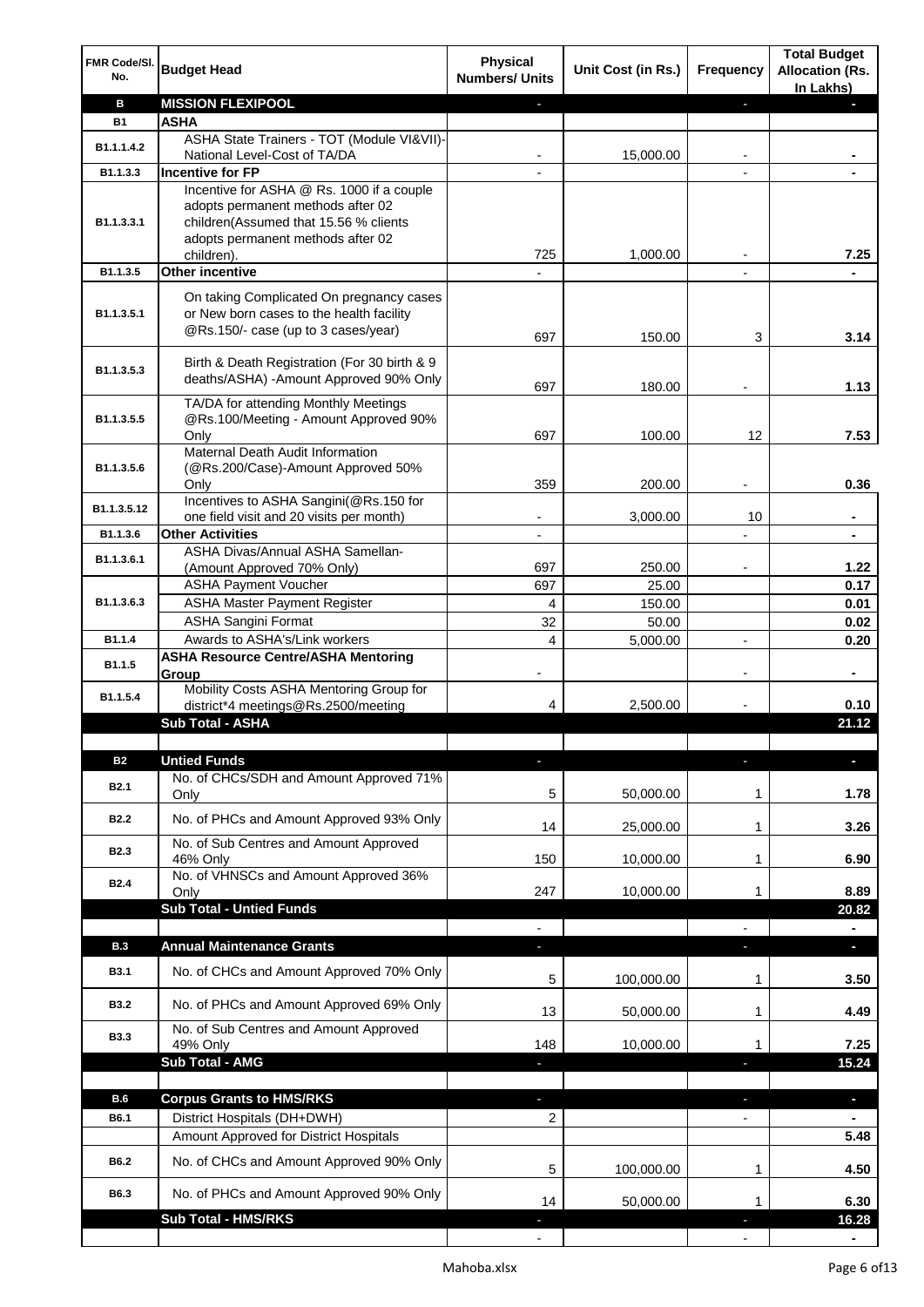| FMR Code/SI.<br>No. | <b>Budget Head</b>                                                                                                          | <b>Physical</b><br><b>Numbers/ Units</b> | Unit Cost (in Rs.) | Frequency                | <b>Total Budget</b><br><b>Allocation (Rs.</b><br>In Lakhs) |
|---------------------|-----------------------------------------------------------------------------------------------------------------------------|------------------------------------------|--------------------|--------------------------|------------------------------------------------------------|
| в                   | <b>MISSION FLEXIPOOL</b>                                                                                                    |                                          |                    | ÷.                       |                                                            |
| <b>B1</b>           | <b>ASHA</b>                                                                                                                 |                                          |                    |                          |                                                            |
| B1.1.1.4.2          | ASHA State Trainers - TOT (Module VI&VII)-                                                                                  |                                          |                    |                          |                                                            |
|                     | National Level-Cost of TA/DA<br><b>Incentive for FP</b>                                                                     |                                          | 15,000.00          |                          |                                                            |
| B1.1.3.3            | Incentive for ASHA @ Rs. 1000 if a couple                                                                                   |                                          |                    |                          |                                                            |
| B1.1.3.3.1          | adopts permanent methods after 02<br>children(Assumed that 15.56 % clients                                                  |                                          |                    |                          |                                                            |
|                     | adopts permanent methods after 02                                                                                           | 725                                      | 1,000.00           |                          | 7.25                                                       |
| B1.1.3.5            | children).<br><b>Other incentive</b>                                                                                        |                                          |                    |                          |                                                            |
|                     |                                                                                                                             |                                          |                    |                          |                                                            |
| B1.1.3.5.1          | On taking Complicated On pregnancy cases<br>or New born cases to the health facility<br>@Rs.150/- case (up to 3 cases/year) | 697                                      | 150.00             | 3                        | 3.14                                                       |
| B1.1.3.5.3          | Birth & Death Registration (For 30 birth & 9<br>deaths/ASHA) - Amount Approved 90% Only                                     | 697                                      | 180.00             |                          | 1.13                                                       |
|                     | TA/DA for attending Monthly Meetings                                                                                        |                                          |                    |                          |                                                            |
| B1.1.3.5.5          | @Rs.100/Meeting - Amount Approved 90%<br>Only                                                                               | 697                                      | 100.00             | 12                       | 7.53                                                       |
|                     | Maternal Death Audit Information                                                                                            |                                          |                    |                          |                                                            |
| B1.1.3.5.6          | (@Rs.200/Case)-Amount Approved 50%                                                                                          |                                          |                    |                          |                                                            |
|                     | Only<br>Incentives to ASHA Sangini(@Rs.150 for                                                                              | 359                                      | 200.00             |                          | 0.36                                                       |
| B1.1.3.5.12         | one field visit and 20 visits per month)                                                                                    |                                          | 3,000.00           | 10                       |                                                            |
| B1.1.3.6            | <b>Other Activities</b>                                                                                                     |                                          |                    |                          |                                                            |
| B1.1.3.6.1          | ASHA Divas/Annual ASHA Samellan-                                                                                            |                                          |                    |                          |                                                            |
|                     | (Amount Approved 70% Only)                                                                                                  | 697                                      | 250.00             |                          | 1.22                                                       |
|                     | <b>ASHA Payment Voucher</b>                                                                                                 | 697                                      | 25.00              |                          | 0.17                                                       |
| B1.1.3.6.3          | <b>ASHA Master Payment Register</b>                                                                                         | 4                                        | 150.00             |                          | 0.01                                                       |
|                     | <b>ASHA Sangini Format</b>                                                                                                  | 32                                       | 50.00              |                          | 0.02                                                       |
| B1.1.4              | Awards to ASHA's/Link workers                                                                                               | 4                                        | 5,000.00           | $\blacksquare$           | 0.20                                                       |
| B1.1.5              | <b>ASHA Resource Centre/ASHA Mentoring</b><br>Group<br>Mobility Costs ASHA Mentoring Group for                              | $\overline{\phantom{a}}$                 |                    | $\overline{\phantom{a}}$ | $\blacksquare$                                             |
| B1.1.5.4            | district*4 meetings@Rs.2500/meeting                                                                                         | 4                                        | 2,500.00           |                          | 0.10                                                       |
|                     | <b>Sub Total - ASHA</b>                                                                                                     |                                          |                    |                          | 21.12                                                      |
|                     |                                                                                                                             |                                          |                    |                          |                                                            |
| <b>B2</b>           | <b>Untied Funds</b>                                                                                                         |                                          |                    |                          |                                                            |
| B <sub>2.1</sub>    | No. of CHCs/SDH and Amount Approved 71%<br>Only                                                                             | 5                                        | 50,000.00          | 1                        | 1.78                                                       |
| <b>B2.2</b>         | No. of PHCs and Amount Approved 93% Only                                                                                    | 14                                       | 25,000.00          | 1                        | 3.26                                                       |
| <b>B2.3</b>         | No. of Sub Centres and Amount Approved                                                                                      |                                          |                    |                          |                                                            |
|                     | 46% Only                                                                                                                    | 150                                      | 10,000.00          | 1                        | 6.90                                                       |
| <b>B2.4</b>         | No. of VHNSCs and Amount Approved 36%                                                                                       |                                          | 10,000.00          |                          |                                                            |
|                     | Only<br><b>Sub Total - Untied Funds</b>                                                                                     | 247                                      |                    | 1                        | 8.89<br>20.82                                              |
|                     |                                                                                                                             |                                          |                    |                          |                                                            |
| <b>B.3</b>          | <b>Annual Maintenance Grants</b>                                                                                            | J,                                       |                    |                          | o.                                                         |
| <b>B3.1</b>         | No. of CHCs and Amount Approved 70% Only                                                                                    | 5                                        | 100,000.00         | 1                        | 3.50                                                       |
| <b>B3.2</b>         | No. of PHCs and Amount Approved 69% Only                                                                                    | 13                                       | 50,000.00          | 1                        | 4.49                                                       |
| <b>B3.3</b>         | No. of Sub Centres and Amount Approved                                                                                      |                                          |                    |                          |                                                            |
|                     | 49% Only                                                                                                                    | 148                                      | 10,000.00          | 1                        | 7.25                                                       |
|                     | Sub Total - AMG                                                                                                             |                                          |                    |                          | 15.24                                                      |
| B.6                 | <b>Corpus Grants to HMS/RKS</b>                                                                                             |                                          |                    |                          |                                                            |
| B6.1                | District Hospitals (DH+DWH)                                                                                                 | J,<br>2                                  |                    | ×,                       | $\overline{\phantom{a}}$                                   |
|                     | Amount Approved for District Hospitals                                                                                      |                                          |                    |                          | 5.48                                                       |
| B6.2                | No. of CHCs and Amount Approved 90% Only                                                                                    |                                          |                    |                          |                                                            |
|                     |                                                                                                                             | 5                                        | 100,000.00         | 1                        | 4.50                                                       |
| B6.3                | No. of PHCs and Amount Approved 90% Only<br>Sub Total - HMS/RKS                                                             | 14                                       | 50,000.00          | 1                        | 6.30<br>16.28                                              |
|                     |                                                                                                                             |                                          |                    |                          |                                                            |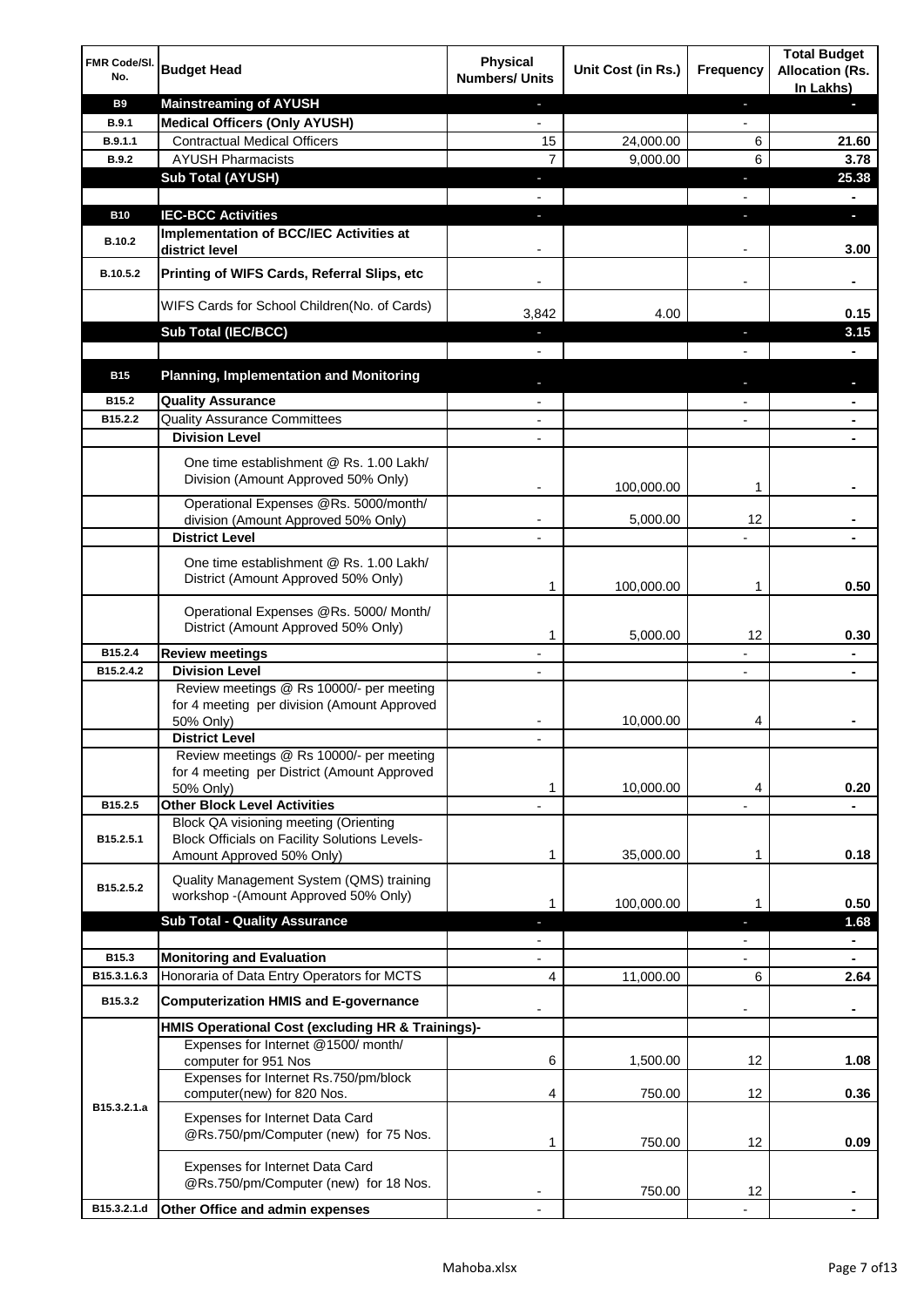| FMR Code/SI.<br>No. | <b>Budget Head</b>                                                                                                                | <b>Physical</b><br><b>Numbers/ Units</b> | Unit Cost (in Rs.) | <b>Frequency</b>         | <b>Total Budget</b><br><b>Allocation (Rs.</b><br>In Lakhs) |
|---------------------|-----------------------------------------------------------------------------------------------------------------------------------|------------------------------------------|--------------------|--------------------------|------------------------------------------------------------|
| <b>B9</b>           | <b>Mainstreaming of AYUSH</b>                                                                                                     | $\blacksquare$                           |                    | ٠                        | ٠                                                          |
| <b>B.9.1</b>        | <b>Medical Officers (Only AYUSH)</b>                                                                                              | $\blacksquare$                           |                    | $\blacksquare$           |                                                            |
| B.9.1.1             | <b>Contractual Medical Officers</b>                                                                                               | 15                                       | 24,000.00          | 6                        | 21.60                                                      |
| <b>B.9.2</b>        | <b>AYUSH Pharmacists</b>                                                                                                          | 7                                        | 9,000.00           | 6                        | 3.78                                                       |
|                     | <b>Sub Total (AYUSH)</b>                                                                                                          | ÷,                                       |                    | ı                        | 25.38                                                      |
| <b>B10</b>          | <b>IEC-BCC Activities</b>                                                                                                         | r.                                       |                    | ı                        | ۰<br>÷.                                                    |
|                     | Implementation of BCC/IEC Activities at                                                                                           |                                          |                    |                          |                                                            |
| B.10.2              | district level                                                                                                                    |                                          |                    | $\overline{a}$           | 3.00                                                       |
| B.10.5.2            | Printing of WIFS Cards, Referral Slips, etc                                                                                       | $\blacksquare$                           |                    | $\overline{\phantom{a}}$ | ۰                                                          |
|                     | WIFS Cards for School Children(No. of Cards)                                                                                      | 3,842                                    | 4.00               |                          | 0.15                                                       |
|                     | Sub Total (IEC/BCC)                                                                                                               |                                          |                    |                          | 3.15                                                       |
|                     |                                                                                                                                   |                                          |                    |                          |                                                            |
| <b>B15</b>          | <b>Planning, Implementation and Monitoring</b>                                                                                    |                                          |                    |                          |                                                            |
| B15.2               | <b>Quality Assurance</b>                                                                                                          |                                          |                    |                          | ۰                                                          |
| B15.2.2             | <b>Quality Assurance Committees</b>                                                                                               | $\overline{\phantom{a}}$                 |                    |                          | ۰                                                          |
|                     | <b>Division Level</b>                                                                                                             |                                          |                    |                          |                                                            |
|                     | One time establishment @ Rs. 1.00 Lakh/<br>Division (Amount Approved 50% Only)                                                    |                                          | 100,000.00         | 1                        |                                                            |
|                     | Operational Expenses @Rs. 5000/month/                                                                                             |                                          |                    |                          |                                                            |
|                     | division (Amount Approved 50% Only)                                                                                               |                                          | 5,000.00           | 12                       |                                                            |
|                     | <b>District Level</b>                                                                                                             |                                          |                    |                          |                                                            |
|                     | One time establishment @ Rs. 1.00 Lakh/<br>District (Amount Approved 50% Only)                                                    | 1                                        | 100,000.00         | 1                        | 0.50                                                       |
|                     | Operational Expenses @Rs. 5000/ Month/<br>District (Amount Approved 50% Only)                                                     | 1                                        | 5,000.00           | 12                       | 0.30                                                       |
| B15.2.4             | <b>Review meetings</b>                                                                                                            |                                          |                    |                          | ۰                                                          |
| B15.2.4.2           | <b>Division Level</b>                                                                                                             |                                          |                    | $\overline{\phantom{a}}$ | ۰                                                          |
|                     | Review meetings @ Rs 10000/- per meeting<br>for 4 meeting per division (Amount Approved<br>50% Only)                              |                                          | 10,000.00          | 4                        |                                                            |
|                     | <b>District Level</b>                                                                                                             |                                          |                    |                          |                                                            |
|                     | Review meetings @ Rs 10000/- per meeting<br>for 4 meeting per District (Amount Approved<br>50% Only)                              | 1                                        | 10,000.00          | 4                        | 0.20                                                       |
| B15.2.5             | <b>Other Block Level Activities</b>                                                                                               |                                          |                    |                          |                                                            |
| B15.2.5.1           | <b>Block QA visioning meeting (Orienting</b><br><b>Block Officials on Facility Solutions Levels-</b><br>Amount Approved 50% Only) | 1                                        | 35,000.00          | 1                        | 0.18                                                       |
| B15.2.5.2           | Quality Management System (QMS) training<br>workshop - (Amount Approved 50% Only)                                                 |                                          |                    |                          |                                                            |
|                     | <b>Sub Total - Quality Assurance</b>                                                                                              | 1<br>L                                   | 100,000.00         | 1<br>J,                  | 0.50<br>1.68                                               |
|                     |                                                                                                                                   |                                          |                    |                          | ۰                                                          |
| B15.3               | <b>Monitoring and Evaluation</b>                                                                                                  |                                          |                    |                          | ۰                                                          |
| B15.3.1.6.3         | Honoraria of Data Entry Operators for MCTS                                                                                        | 4                                        | 11,000.00          | 6                        | 2.64                                                       |
| B15.3.2             | <b>Computerization HMIS and E-governance</b>                                                                                      |                                          |                    |                          |                                                            |
|                     | HMIS Operational Cost (excluding HR & Trainings)-                                                                                 |                                          |                    |                          |                                                            |
|                     | Expenses for Internet @1500/month/                                                                                                |                                          |                    |                          |                                                            |
|                     | computer for 951 Nos<br>Expenses for Internet Rs.750/pm/block<br>computer(new) for 820 Nos.                                       | 6<br>4                                   | 1,500.00<br>750.00 | 12<br>12                 | 1.08<br>0.36                                               |
| B15.3.2.1.a         | Expenses for Internet Data Card<br>@Rs.750/pm/Computer (new) for 75 Nos.                                                          | 1                                        | 750.00             | 12                       | 0.09                                                       |
|                     | Expenses for Internet Data Card<br>@Rs.750/pm/Computer (new) for 18 Nos.                                                          |                                          | 750.00             | 12                       |                                                            |
| B15.3.2.1.d         | Other Office and admin expenses                                                                                                   |                                          |                    |                          |                                                            |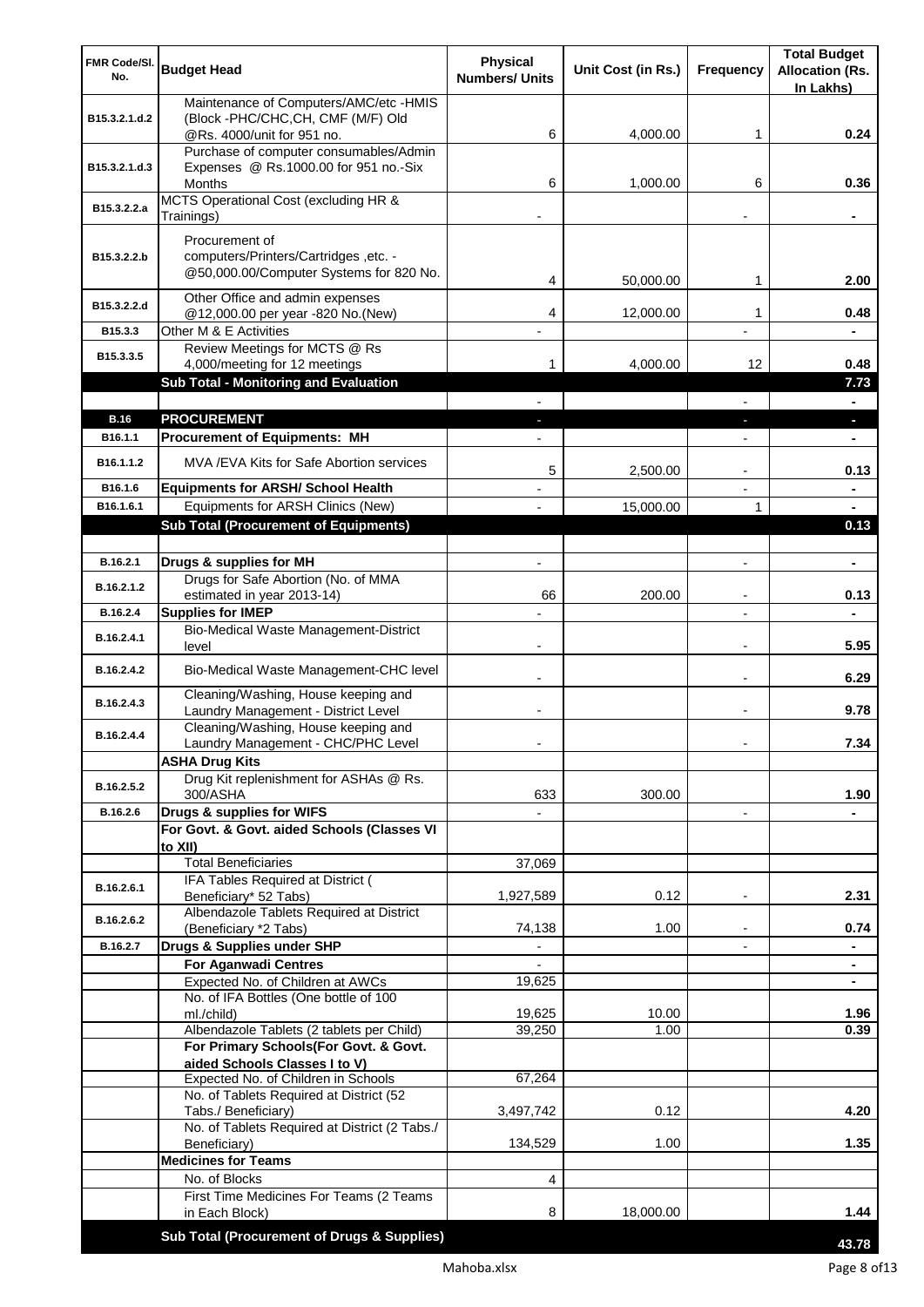| FMR Code/SI.<br>No.  | <b>Budget Head</b>                                                                                 | Physical<br><b>Numbers/ Units</b> | Unit Cost (in Rs.) | Frequency                                | <b>Total Budget</b><br><b>Allocation (Rs.</b><br>In Lakhs) |
|----------------------|----------------------------------------------------------------------------------------------------|-----------------------------------|--------------------|------------------------------------------|------------------------------------------------------------|
| B15.3.2.1.d.2        | Maintenance of Computers/AMC/etc -HMIS<br>(Block -PHC/CHC, CH, CMF (M/F) Old                       |                                   |                    |                                          |                                                            |
|                      | @Rs. 4000/unit for 951 no.<br>Purchase of computer consumables/Admin                               | 6                                 | 4,000.00           | 1                                        | 0.24                                                       |
| B15.3.2.1.d.3        | Expenses @ Rs.1000.00 for 951 no.-Six                                                              |                                   |                    |                                          |                                                            |
|                      | Months                                                                                             | 6                                 | 1,000.00           | 6                                        | 0.36                                                       |
| B15.3.2.2.a          | MCTS Operational Cost (excluding HR &<br>Trainings)                                                |                                   |                    |                                          |                                                            |
| B15.3.2.2.b          | Procurement of<br>computers/Printers/Cartridges, etc. -<br>@50,000.00/Computer Systems for 820 No. | 4                                 | 50,000.00          | 1                                        | 2.00                                                       |
| B15.3.2.2.d          | Other Office and admin expenses                                                                    |                                   | 12,000.00          |                                          |                                                            |
| B15.3.3              | @12,000.00 per year -820 No.(New)<br>Other M & E Activities                                        | 4                                 |                    | 1                                        | 0.48                                                       |
| B15.3.3.5            | Review Meetings for MCTS @ Rs                                                                      |                                   |                    |                                          |                                                            |
|                      | 4,000/meeting for 12 meetings                                                                      | 1                                 | 4,000.00           | 12                                       | 0.48                                                       |
|                      | <b>Sub Total - Monitoring and Evaluation</b>                                                       |                                   |                    |                                          | 7.73                                                       |
| <b>B.16</b>          | <b>PROCUREMENT</b>                                                                                 |                                   |                    |                                          | ٠<br>٠                                                     |
| B16.1.1              | <b>Procurement of Equipments: MH</b>                                                               |                                   |                    |                                          | ٠                                                          |
| B16.1.1.2            | MVA/EVA Kits for Safe Abortion services                                                            |                                   |                    |                                          |                                                            |
|                      |                                                                                                    | 5                                 | 2,500.00           | $\blacksquare$                           | 0.13                                                       |
| B16.1.6<br>B16.1.6.1 | <b>Equipments for ARSH/ School Health</b><br>Equipments for ARSH Clinics (New)                     |                                   | 15,000.00          | $\overline{\phantom{a}}$<br>$\mathbf{1}$ | $\blacksquare$<br>٠                                        |
|                      | <b>Sub Total (Procurement of Equipments)</b>                                                       |                                   |                    |                                          | 0.13                                                       |
|                      |                                                                                                    |                                   |                    |                                          |                                                            |
| B.16.2.1             | Drugs & supplies for MH                                                                            | $\blacksquare$                    |                    | $\overline{a}$                           | $\blacksquare$                                             |
| B.16.2.1.2           | Drugs for Safe Abortion (No. of MMA<br>estimated in year 2013-14)                                  | 66                                | 200.00             | $\blacksquare$                           | 0.13                                                       |
| B.16.2.4             | <b>Supplies for IMEP</b>                                                                           |                                   |                    | $\overline{a}$                           |                                                            |
| B.16.2.4.1           | <b>Bio-Medical Waste Management-District</b><br>level                                              |                                   |                    | $\overline{\phantom{a}}$                 | 5.95                                                       |
| B.16.2.4.2           | Bio-Medical Waste Management-CHC level                                                             |                                   |                    |                                          | 6.29                                                       |
| B.16.2.4.3           | Cleaning/Washing, House keeping and<br>Laundry Management - District Level                         |                                   |                    |                                          | 9.78                                                       |
| B.16.2.4.4           | Cleaning/Washing, House keeping and<br>Laundry Management - CHC/PHC Level                          |                                   |                    |                                          | 7.34                                                       |
|                      | <b>ASHA Drug Kits</b>                                                                              |                                   |                    |                                          |                                                            |
| B.16.2.5.2           | Drug Kit replenishment for ASHAs @ Rs.<br>300/ASHA                                                 | 633                               | 300.00             |                                          | 1.90                                                       |
| B.16.2.6             | Drugs & supplies for WIFS                                                                          |                                   |                    | $\overline{\phantom{a}}$                 |                                                            |
|                      | For Govt. & Govt. aided Schools (Classes VI<br>to XII)                                             |                                   |                    |                                          |                                                            |
|                      | <b>Total Beneficiaries</b>                                                                         | 37,069                            |                    |                                          |                                                            |
| B.16.2.6.1           | IFA Tables Required at District (<br>Beneficiary* 52 Tabs)                                         | 1,927,589                         | 0.12               |                                          | 2.31                                                       |
| B.16.2.6.2           | Albendazole Tablets Required at District<br>(Beneficiary *2 Tabs)                                  | 74,138                            | 1.00               |                                          | 0.74                                                       |
| B.16.2.7             | Drugs & Supplies under SHP                                                                         |                                   |                    |                                          |                                                            |
|                      | <b>For Aganwadi Centres</b>                                                                        | $\blacksquare$                    |                    |                                          | ٠                                                          |
|                      | Expected No. of Children at AWCs                                                                   | 19,625                            |                    |                                          | ٠                                                          |
|                      | No. of IFA Bottles (One bottle of 100<br>ml./child)                                                | 19,625                            | 10.00              |                                          | 1.96                                                       |
|                      | Albendazole Tablets (2 tablets per Child)                                                          | 39,250                            | 1.00               |                                          | 0.39                                                       |
|                      | For Primary Schools(For Govt. & Govt.                                                              |                                   |                    |                                          |                                                            |
|                      | aided Schools Classes I to V)<br>Expected No. of Children in Schools                               | 67,264                            |                    |                                          |                                                            |
|                      | No. of Tablets Required at District (52                                                            |                                   |                    |                                          |                                                            |
|                      | Tabs./ Beneficiary)<br>No. of Tablets Required at District (2 Tabs./                               | 3,497,742                         | 0.12               |                                          | 4.20                                                       |
|                      | Beneficiary)                                                                                       | 134,529                           | 1.00               |                                          | 1.35                                                       |
|                      | <b>Medicines for Teams</b>                                                                         |                                   |                    |                                          |                                                            |
|                      | No. of Blocks                                                                                      | 4                                 |                    |                                          |                                                            |
|                      | First Time Medicines For Teams (2 Teams<br>in Each Block)                                          | 8                                 | 18,000.00          |                                          | 1.44                                                       |
|                      | Sub Total (Procurement of Drugs & Supplies)                                                        |                                   |                    |                                          | 43.78                                                      |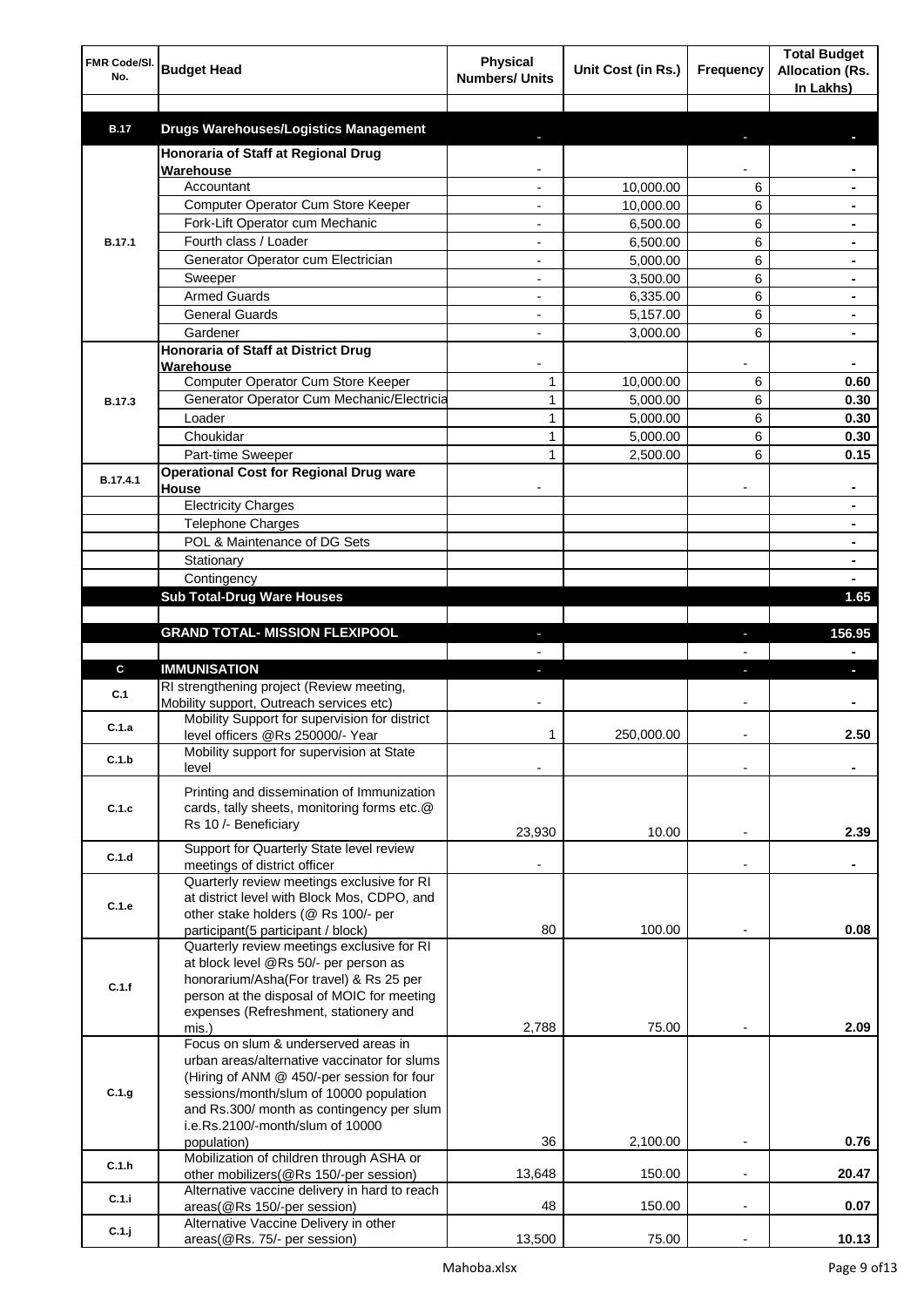| FMR Code/SI.<br>No. | <b>Budget Head</b>                                                                    | <b>Physical</b><br><b>Numbers/ Units</b> | Unit Cost (in Rs.) | Frequency                | <b>Total Budget</b><br><b>Allocation (Rs.</b><br>In Lakhs) |
|---------------------|---------------------------------------------------------------------------------------|------------------------------------------|--------------------|--------------------------|------------------------------------------------------------|
| <b>B.17</b>         | <b>Drugs Warehouses/Logistics Management</b>                                          |                                          |                    |                          |                                                            |
|                     | Honoraria of Staff at Regional Drug                                                   |                                          |                    |                          |                                                            |
|                     | Warehouse                                                                             |                                          |                    |                          |                                                            |
|                     | Accountant                                                                            |                                          | 10,000.00          | 6                        |                                                            |
|                     | Computer Operator Cum Store Keeper                                                    |                                          | 10,000.00          | 6                        |                                                            |
|                     | Fork-Lift Operator cum Mechanic                                                       |                                          | 6,500.00           | 6                        |                                                            |
| <b>B.17.1</b>       | Fourth class / Loader                                                                 |                                          | 6,500.00           | 6                        |                                                            |
|                     | Generator Operator cum Electrician                                                    |                                          | 5,000.00           | 6                        |                                                            |
|                     | Sweeper                                                                               |                                          | 3,500.00           | 6                        |                                                            |
|                     | <b>Armed Guards</b>                                                                   |                                          | 6,335.00           | 6                        |                                                            |
|                     | <b>General Guards</b>                                                                 |                                          | 5,157.00           | 6                        |                                                            |
|                     | Gardener                                                                              |                                          | 3,000.00           | 6                        |                                                            |
|                     | Honoraria of Staff at District Drug                                                   |                                          |                    |                          |                                                            |
|                     | Warehouse<br>Computer Operator Cum Store Keeper                                       |                                          |                    |                          |                                                            |
|                     | Generator Operator Cum Mechanic/Electricia                                            | 1                                        | 10,000.00          | 6                        | 0.60                                                       |
| <b>B.17.3</b>       | Loader                                                                                | $\mathbf{1}$<br>1                        | 5,000.00           | 6<br>6                   | 0.30                                                       |
|                     | Choukidar                                                                             |                                          | 5,000.00           |                          | 0.30                                                       |
|                     |                                                                                       | 1                                        | 5,000.00           | 6<br>6                   | 0.30                                                       |
|                     | Part-time Sweeper<br><b>Operational Cost for Regional Drug ware</b>                   | 1                                        | 2,500.00           |                          | 0.15                                                       |
| B.17.4.1            | House                                                                                 |                                          |                    |                          | ۰                                                          |
|                     | <b>Electricity Charges</b>                                                            |                                          |                    |                          | ۰                                                          |
|                     | <b>Telephone Charges</b>                                                              |                                          |                    |                          | ۰                                                          |
|                     | POL & Maintenance of DG Sets                                                          |                                          |                    |                          | ۰                                                          |
|                     | Stationary                                                                            |                                          |                    |                          | ٠                                                          |
|                     | Contingency                                                                           |                                          |                    |                          |                                                            |
|                     | <b>Sub Total-Drug Ware Houses</b>                                                     |                                          |                    |                          | 1.65                                                       |
|                     |                                                                                       |                                          |                    |                          |                                                            |
|                     | <b>GRAND TOTAL- MISSION FLEXIPOOL</b>                                                 |                                          |                    | ı                        | 156.95                                                     |
|                     |                                                                                       |                                          |                    |                          |                                                            |
| C                   | <b>IMMUNISATION</b>                                                                   |                                          |                    |                          |                                                            |
| C.1                 | RI strengthening project (Review meeting,<br>Mobility support, Outreach services etc) |                                          |                    |                          |                                                            |
|                     | Mobility Support for supervision for district                                         |                                          |                    |                          |                                                            |
| C.1.a               | level officers @Rs 250000/- Year                                                      | 1                                        | 250,000.00         |                          | 2.50                                                       |
|                     | Mobility support for supervision at State                                             |                                          |                    |                          |                                                            |
| C.1.b               | level                                                                                 |                                          |                    |                          |                                                            |
|                     | Printing and dissemination of Immunization                                            |                                          |                    |                          |                                                            |
| C.1.c               | cards, tally sheets, monitoring forms etc.@                                           |                                          |                    |                          |                                                            |
|                     | Rs 10 /- Beneficiary                                                                  | 23,930                                   | 10.00              |                          | 2.39                                                       |
|                     | Support for Quarterly State level review                                              |                                          |                    |                          |                                                            |
| C.1.d               | meetings of district officer                                                          |                                          |                    | $\blacksquare$           |                                                            |
|                     | Quarterly review meetings exclusive for RI                                            |                                          |                    |                          |                                                            |
| C.1.e               | at district level with Block Mos, CDPO, and                                           |                                          |                    |                          |                                                            |
|                     | other stake holders (@ Rs 100/- per                                                   |                                          |                    |                          |                                                            |
|                     | participant(5 participant / block)                                                    | 80                                       | 100.00             |                          | 0.08                                                       |
|                     | Quarterly review meetings exclusive for RI<br>at block level @Rs 50/- per person as   |                                          |                    |                          |                                                            |
|                     | honorarium/Asha(For travel) & Rs 25 per                                               |                                          |                    |                          |                                                            |
| C.1.f               | person at the disposal of MOIC for meeting                                            |                                          |                    |                          |                                                            |
|                     | expenses (Refreshment, stationery and                                                 |                                          |                    |                          |                                                            |
|                     | mis.)                                                                                 | 2,788                                    | 75.00              |                          | 2.09                                                       |
|                     | Focus on slum & underserved areas in                                                  |                                          |                    |                          |                                                            |
|                     | urban areas/alternative vaccinator for slums                                          |                                          |                    |                          |                                                            |
|                     | (Hiring of ANM @ 450/-per session for four                                            |                                          |                    |                          |                                                            |
| C.1.g               | sessions/month/slum of 10000 population<br>and Rs.300/ month as contingency per slum  |                                          |                    |                          |                                                            |
|                     | i.e.Rs.2100/-month/slum of 10000                                                      |                                          |                    |                          |                                                            |
|                     | population)                                                                           | 36                                       | 2,100.00           |                          | 0.76                                                       |
| C.1.h               | Mobilization of children through ASHA or                                              |                                          |                    |                          |                                                            |
|                     | other mobilizers(@Rs 150/-per session)                                                | 13,648                                   | 150.00             | $\overline{a}$           | 20.47                                                      |
| C.1.i               | Alternative vaccine delivery in hard to reach                                         |                                          |                    |                          |                                                            |
|                     | areas(@Rs 150/-per session)                                                           | 48                                       | 150.00             | $\overline{\phantom{a}}$ | 0.07                                                       |
| C.1.j               | Alternative Vaccine Delivery in other<br>areas(@Rs. 75/- per session)                 | 13,500                                   | 75.00              | $\overline{a}$           | 10.13                                                      |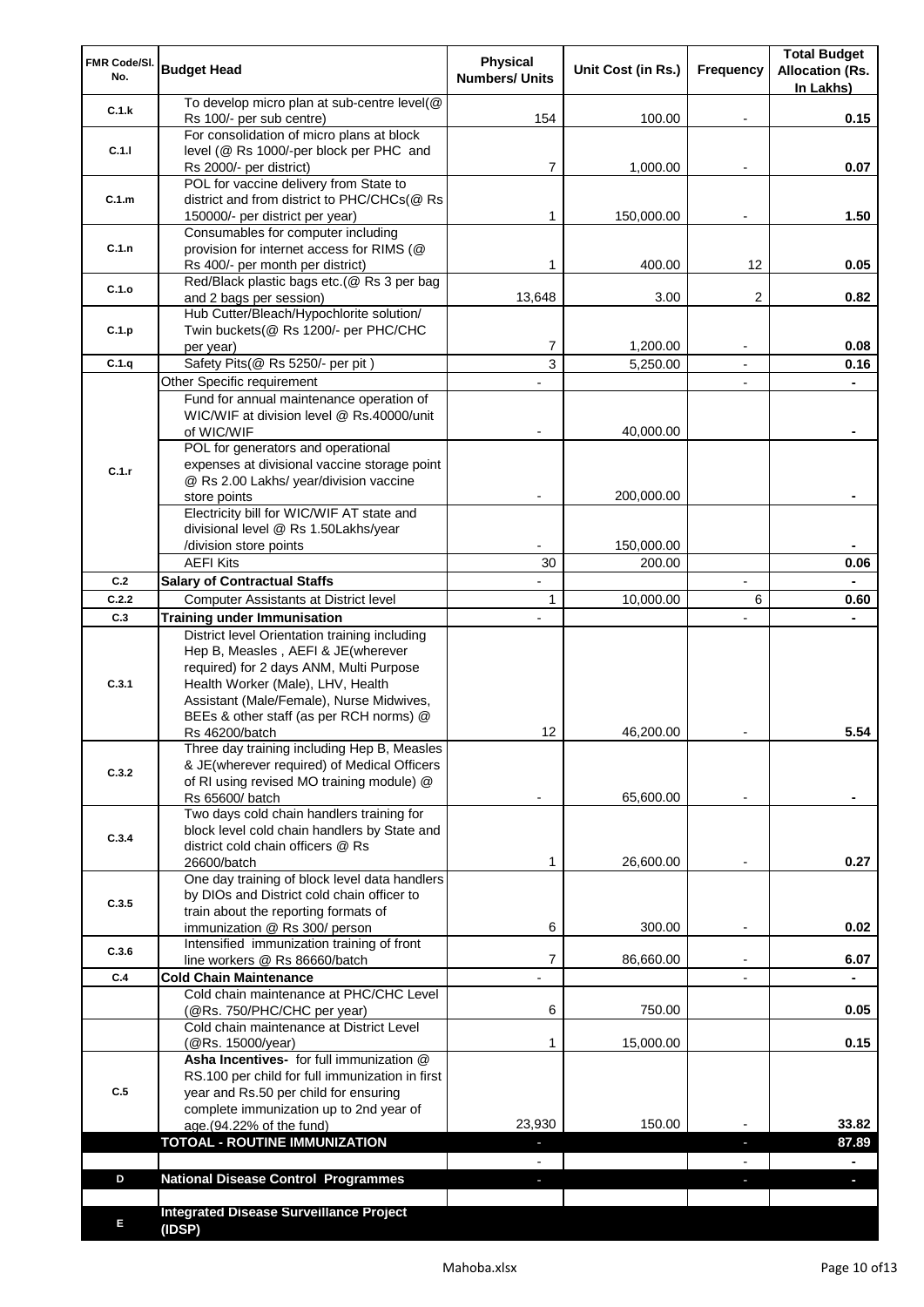| FMR Code/SI.<br>No. | <b>Budget Head</b>                                                                                                                                                                                                                                         | <b>Physical</b><br><b>Numbers/ Units</b> | Unit Cost (in Rs.)   | Frequency                | <b>Total Budget</b><br><b>Allocation (Rs.</b><br>In Lakhs) |
|---------------------|------------------------------------------------------------------------------------------------------------------------------------------------------------------------------------------------------------------------------------------------------------|------------------------------------------|----------------------|--------------------------|------------------------------------------------------------|
| C.1.k               | To develop micro plan at sub-centre level(@<br>Rs 100/- per sub centre)                                                                                                                                                                                    | 154                                      | 100.00               |                          | 0.15                                                       |
| C.1.1               | For consolidation of micro plans at block<br>level (@ Rs 1000/-per block per PHC and                                                                                                                                                                       | 7                                        | 1,000.00             |                          | 0.07                                                       |
|                     | Rs 2000/- per district)<br>POL for vaccine delivery from State to                                                                                                                                                                                          |                                          |                      |                          |                                                            |
| C.1.m               | district and from district to PHC/CHCs(@ Rs<br>150000/- per district per year)                                                                                                                                                                             | 1                                        | 150,000.00           |                          | 1.50                                                       |
| C.1.n               | Consumables for computer including<br>provision for internet access for RIMS (@<br>Rs 400/- per month per district)                                                                                                                                        | 1                                        | 400.00               | 12                       | 0.05                                                       |
| C.1.o               | Red/Black plastic bags etc.(@ Rs 3 per bag<br>and 2 bags per session)                                                                                                                                                                                      | 13,648                                   | 3.00                 | 2                        | 0.82                                                       |
| C.1.p               | Hub Cutter/Bleach/Hypochlorite solution/<br>Twin buckets(@ Rs 1200/- per PHC/CHC                                                                                                                                                                           |                                          |                      |                          |                                                            |
| C.1.q               | per year)<br>Safety Pits(@ Rs 5250/- per pit)                                                                                                                                                                                                              | 7<br>3                                   | 1,200.00<br>5,250.00 |                          | 0.08<br>0.16                                               |
|                     | Other Specific requirement                                                                                                                                                                                                                                 |                                          |                      | $\blacksquare$           |                                                            |
|                     | Fund for annual maintenance operation of                                                                                                                                                                                                                   |                                          |                      |                          |                                                            |
|                     | WIC/WIF at division level @ Rs.40000/unit<br>of WIC/WIF                                                                                                                                                                                                    |                                          | 40,000.00            |                          |                                                            |
|                     | POL for generators and operational                                                                                                                                                                                                                         |                                          |                      |                          |                                                            |
| C.1.r               | expenses at divisional vaccine storage point                                                                                                                                                                                                               |                                          |                      |                          |                                                            |
|                     | @ Rs 2.00 Lakhs/ year/division vaccine<br>store points                                                                                                                                                                                                     |                                          | 200,000.00           |                          |                                                            |
|                     | Electricity bill for WIC/WIF AT state and                                                                                                                                                                                                                  |                                          |                      |                          |                                                            |
|                     | divisional level @ Rs 1.50Lakhs/year                                                                                                                                                                                                                       |                                          |                      |                          |                                                            |
|                     | /division store points                                                                                                                                                                                                                                     |                                          | 150,000.00           |                          |                                                            |
| C.2                 | <b>AEFI Kits</b><br><b>Salary of Contractual Staffs</b>                                                                                                                                                                                                    | 30                                       | 200.00               | $\overline{\phantom{a}}$ | 0.06                                                       |
| C.2.2               | Computer Assistants at District level                                                                                                                                                                                                                      | $\mathbf{1}$                             | 10,000.00            | 6                        | 0.60                                                       |
| C.3                 | <b>Training under Immunisation</b>                                                                                                                                                                                                                         | $\overline{a}$                           |                      |                          |                                                            |
| C.3.1               | District level Orientation training including<br>Hep B, Measles, AEFI & JE(wherever<br>required) for 2 days ANM, Multi Purpose<br>Health Worker (Male), LHV, Health<br>Assistant (Male/Female), Nurse Midwives,<br>BEEs & other staff (as per RCH norms) @ |                                          |                      |                          |                                                            |
|                     | Rs 46200/batch                                                                                                                                                                                                                                             | 12                                       | 46,200.00            |                          | 5.54                                                       |
| C.3.2               | Three day training including Hep B, Measles<br>& JE(wherever required) of Medical Officers<br>of RI using revised MO training module) @<br>Rs 65600/ batch                                                                                                 |                                          | 65,600.00            |                          |                                                            |
| C.3.4               | Two days cold chain handlers training for<br>block level cold chain handlers by State and<br>district cold chain officers @ Rs                                                                                                                             |                                          |                      |                          |                                                            |
|                     | 26600/batch<br>One day training of block level data handlers                                                                                                                                                                                               | 1                                        | 26,600.00            |                          | 0.27                                                       |
| C.3.5               | by DIOs and District cold chain officer to<br>train about the reporting formats of                                                                                                                                                                         |                                          |                      |                          |                                                            |
|                     | immunization @ Rs 300/ person                                                                                                                                                                                                                              | 6                                        | 300.00               | $\overline{\phantom{a}}$ | 0.02                                                       |
| C.3.6               | Intensified immunization training of front<br>line workers @ Rs 86660/batch                                                                                                                                                                                | 7                                        | 86,660.00            | $\blacksquare$           | 6.07                                                       |
| C.4                 | <b>Cold Chain Maintenance</b>                                                                                                                                                                                                                              |                                          |                      |                          |                                                            |
|                     | Cold chain maintenance at PHC/CHC Level<br>(@Rs. 750/PHC/CHC per year)                                                                                                                                                                                     | 6                                        | 750.00               |                          | 0.05                                                       |
|                     | Cold chain maintenance at District Level<br>(@Rs. 15000/year)                                                                                                                                                                                              | 1                                        | 15,000.00            |                          | 0.15                                                       |
| C.5                 | Asha Incentives- for full immunization @<br>RS.100 per child for full immunization in first<br>year and Rs.50 per child for ensuring<br>complete immunization up to 2nd year of                                                                            | 23,930                                   | 150.00               |                          | 33.82                                                      |
|                     | age.(94.22% of the fund)<br><b>TOTOAL - ROUTINE IMMUNIZATION</b>                                                                                                                                                                                           |                                          |                      | r.                       | 87.89                                                      |
|                     |                                                                                                                                                                                                                                                            |                                          |                      |                          |                                                            |
| D                   | <b>National Disease Control Programmes</b>                                                                                                                                                                                                                 |                                          |                      |                          |                                                            |
|                     |                                                                                                                                                                                                                                                            |                                          |                      |                          |                                                            |
| Е                   | <b>Integrated Disease Surveillance Project</b><br>(IDSP)                                                                                                                                                                                                   |                                          |                      |                          |                                                            |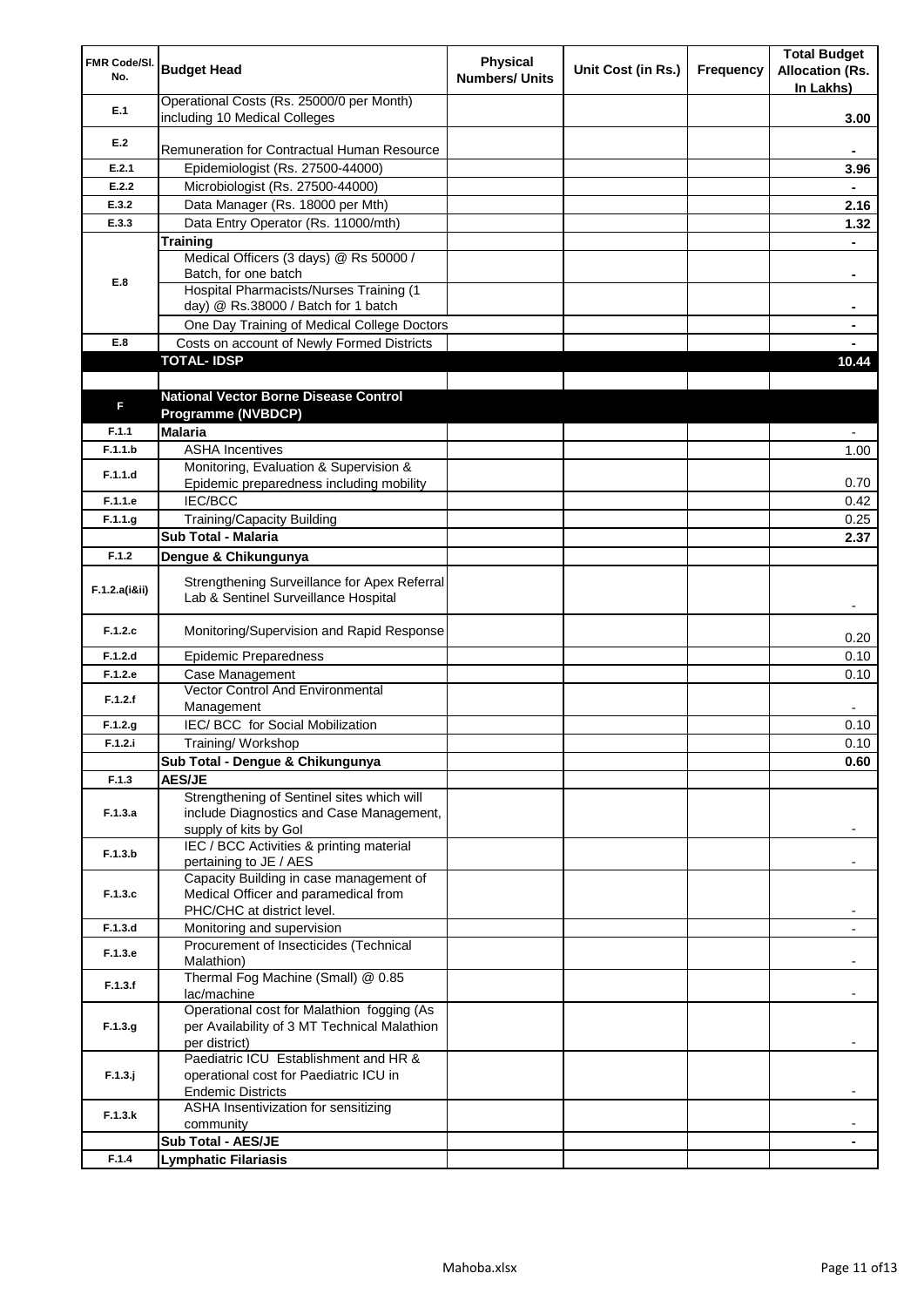| FMR Code/SI.<br>No. | <b>Budget Head</b>                                                                   | <b>Physical</b><br><b>Numbers/ Units</b> | Unit Cost (in Rs.) | <b>Frequency</b> | <b>Total Budget</b><br><b>Allocation (Rs.</b><br>In Lakhs) |
|---------------------|--------------------------------------------------------------------------------------|------------------------------------------|--------------------|------------------|------------------------------------------------------------|
| E.1                 | Operational Costs (Rs. 25000/0 per Month)<br>including 10 Medical Colleges           |                                          |                    |                  | 3.00                                                       |
| E.2                 |                                                                                      |                                          |                    |                  |                                                            |
|                     | Remuneration for Contractual Human Resource                                          |                                          |                    |                  |                                                            |
| E.2.1               | Epidemiologist (Rs. 27500-44000)                                                     |                                          |                    |                  | 3.96                                                       |
| E.2.2               | Microbiologist (Rs. 27500-44000)                                                     |                                          |                    |                  |                                                            |
| E.3.2               | Data Manager (Rs. 18000 per Mth)                                                     |                                          |                    |                  | 2.16                                                       |
| E.3.3               | Data Entry Operator (Rs. 11000/mth)                                                  |                                          |                    |                  | 1.32                                                       |
|                     | <b>Training</b><br>Medical Officers (3 days) @ Rs 50000 /                            |                                          |                    |                  |                                                            |
|                     | Batch, for one batch                                                                 |                                          |                    |                  | ۰                                                          |
| E.8                 | Hospital Pharmacists/Nurses Training (1                                              |                                          |                    |                  |                                                            |
|                     | day) @ Rs.38000 / Batch for 1 batch                                                  |                                          |                    |                  |                                                            |
|                     | One Day Training of Medical College Doctors                                          |                                          |                    |                  |                                                            |
| E.8                 | Costs on account of Newly Formed Districts                                           |                                          |                    |                  |                                                            |
|                     | <b>TOTAL-IDSP</b>                                                                    |                                          |                    |                  | 10.44                                                      |
|                     |                                                                                      |                                          |                    |                  |                                                            |
| F                   | <b>National Vector Borne Disease Control</b>                                         |                                          |                    |                  |                                                            |
|                     | Programme (NVBDCP)                                                                   |                                          |                    |                  |                                                            |
| F.1.1               | <b>Malaria</b>                                                                       |                                          |                    |                  |                                                            |
| F.1.1.b             | <b>ASHA Incentives</b>                                                               |                                          |                    |                  | 1.00                                                       |
| F.1.1.d             | Monitoring, Evaluation & Supervision &                                               |                                          |                    |                  |                                                            |
|                     | Epidemic preparedness including mobility                                             |                                          |                    |                  | 0.70                                                       |
| F.1.1.e             | <b>IEC/BCC</b>                                                                       |                                          |                    |                  | 0.42                                                       |
| F.1.1.g             | <b>Training/Capacity Building</b><br>Sub Total - Malaria                             |                                          |                    |                  | 0.25                                                       |
|                     |                                                                                      |                                          |                    |                  | 2.37                                                       |
| F.1.2               | Dengue & Chikungunya                                                                 |                                          |                    |                  |                                                            |
| F.1.2.a(iⅈ)         | Strengthening Surveillance for Apex Referral<br>Lab & Sentinel Surveillance Hospital |                                          |                    |                  |                                                            |
| F.1.2.c             | Monitoring/Supervision and Rapid Response                                            |                                          |                    |                  | 0.20                                                       |
| F.1.2.d             | <b>Epidemic Preparedness</b>                                                         |                                          |                    |                  | 0.10                                                       |
| F.1.2.e             | Case Management                                                                      |                                          |                    |                  | 0.10                                                       |
| F.1.2.f             | <b>Vector Control And Environmental</b><br>Management                                |                                          |                    |                  |                                                            |
| F.1.2.g             | IEC/ BCC for Social Mobilization                                                     |                                          |                    |                  | 0.10                                                       |
| F.1.2.i             | Training/Workshop                                                                    |                                          |                    |                  | 0.10                                                       |
|                     | Sub Total - Dengue & Chikungunya                                                     |                                          |                    |                  | 0.60                                                       |
| F.1.3               | <b>AES/JE</b>                                                                        |                                          |                    |                  |                                                            |
|                     | Strengthening of Sentinel sites which will                                           |                                          |                    |                  |                                                            |
| F.1.3.a             | include Diagnostics and Case Management,<br>supply of kits by Gol                    |                                          |                    |                  |                                                            |
|                     | IEC / BCC Activities & printing material                                             |                                          |                    |                  |                                                            |
| F.1.3.b             | pertaining to JE / AES                                                               |                                          |                    |                  |                                                            |
|                     | Capacity Building in case management of                                              |                                          |                    |                  |                                                            |
| F.1.3.c             | Medical Officer and paramedical from                                                 |                                          |                    |                  |                                                            |
|                     | PHC/CHC at district level.                                                           |                                          |                    |                  |                                                            |
| F.1.3.d             | Monitoring and supervision                                                           |                                          |                    |                  |                                                            |
| F.1.3.e             | Procurement of Insecticides (Technical<br>Malathion)                                 |                                          |                    |                  |                                                            |
|                     | Thermal Fog Machine (Small) @ 0.85                                                   |                                          |                    |                  |                                                            |
| F.1.3.f             | lac/machine                                                                          |                                          |                    |                  |                                                            |
|                     | Operational cost for Malathion fogging (As                                           |                                          |                    |                  |                                                            |
| F.1.3.g             | per Availability of 3 MT Technical Malathion                                         |                                          |                    |                  |                                                            |
|                     | per district)<br>Paediatric ICU Establishment and HR &                               |                                          |                    |                  |                                                            |
| $F.1.3.$ j          | operational cost for Paediatric ICU in                                               |                                          |                    |                  |                                                            |
|                     | <b>Endemic Districts</b>                                                             |                                          |                    |                  |                                                            |
|                     | ASHA Insentivization for sensitizing                                                 |                                          |                    |                  |                                                            |
| F.1.3.k             | community                                                                            |                                          |                    |                  |                                                            |
|                     | Sub Total - AES/JE                                                                   |                                          |                    |                  |                                                            |
| F.1.4               | <b>Lymphatic Filariasis</b>                                                          |                                          |                    |                  |                                                            |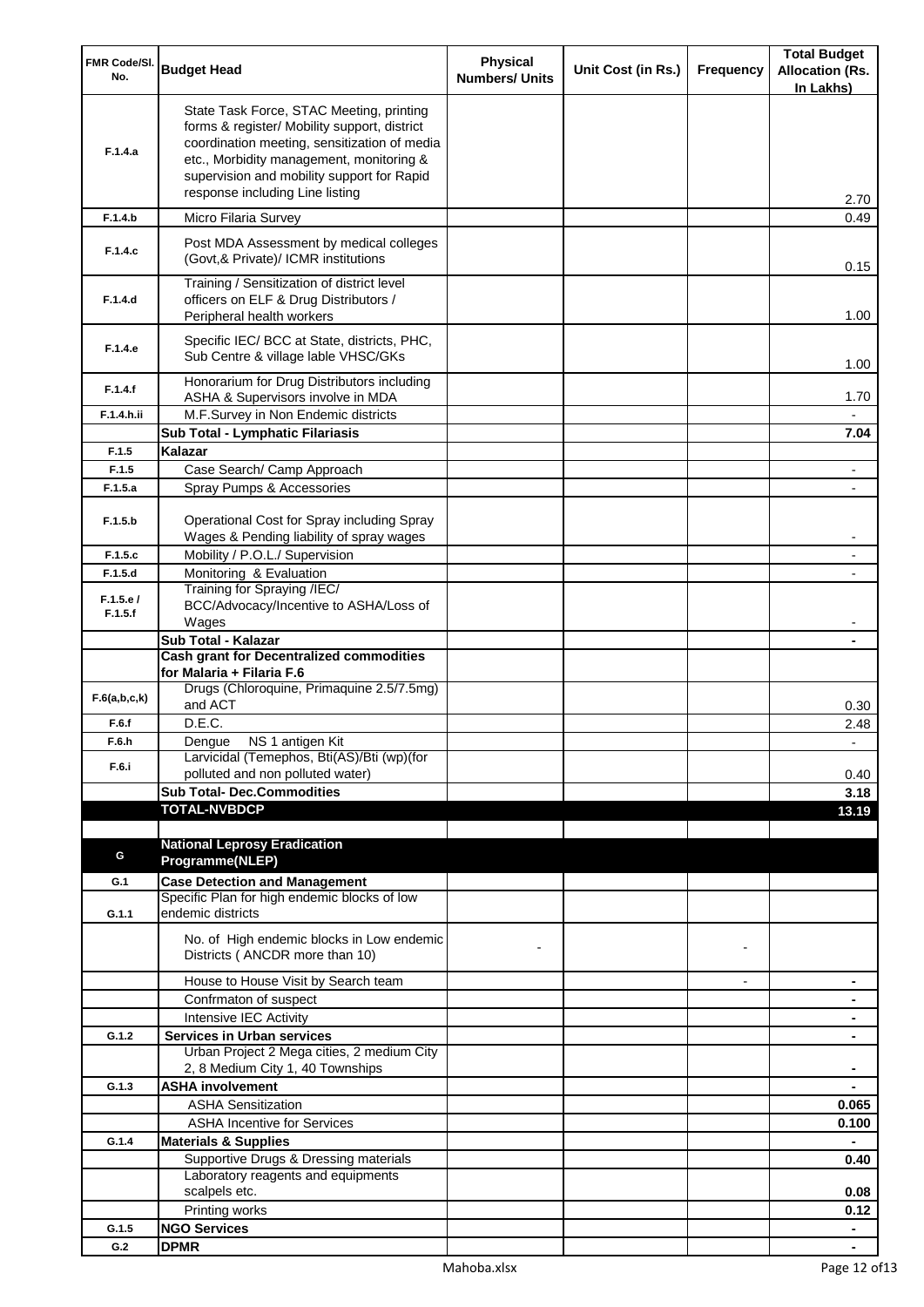| FMR Code/SI.<br>No. | <b>Budget Head</b>                                                                                                                                                                                                                                                    | Physical<br><b>Numbers/ Units</b> | Unit Cost (in Rs.) | Frequency      | <b>Total Budget</b><br><b>Allocation (Rs.</b><br>In Lakhs) |
|---------------------|-----------------------------------------------------------------------------------------------------------------------------------------------------------------------------------------------------------------------------------------------------------------------|-----------------------------------|--------------------|----------------|------------------------------------------------------------|
| F.1.4.a             | State Task Force, STAC Meeting, printing<br>forms & register/ Mobility support, district<br>coordination meeting, sensitization of media<br>etc., Morbidity management, monitoring &<br>supervision and mobility support for Rapid<br>response including Line listing |                                   |                    |                | 2.70                                                       |
| F.1.4.b             | Micro Filaria Survey                                                                                                                                                                                                                                                  |                                   |                    |                | 0.49                                                       |
| F.1.4.c             | Post MDA Assessment by medical colleges<br>(Govt, & Private)/ ICMR institutions                                                                                                                                                                                       |                                   |                    |                | 0.15                                                       |
| F.1.4.d             | Training / Sensitization of district level<br>officers on ELF & Drug Distributors /<br>Peripheral health workers                                                                                                                                                      |                                   |                    |                | 1.00                                                       |
| F.1.4.e             | Specific IEC/ BCC at State, districts, PHC,<br>Sub Centre & village lable VHSC/GKs                                                                                                                                                                                    |                                   |                    |                | 1.00                                                       |
| F.1.4.f             | Honorarium for Drug Distributors including<br>ASHA & Supervisors involve in MDA                                                                                                                                                                                       |                                   |                    |                | 1.70                                                       |
| F.1.4.h.ii          | M.F.Survey in Non Endemic districts                                                                                                                                                                                                                                   |                                   |                    |                |                                                            |
|                     | Sub Total - Lymphatic Filariasis                                                                                                                                                                                                                                      |                                   |                    |                | 7.04                                                       |
| F.1.5<br>F.1.5      | Kalazar<br>Case Search/ Camp Approach                                                                                                                                                                                                                                 |                                   |                    |                |                                                            |
| F.1.5.a             | Spray Pumps & Accessories                                                                                                                                                                                                                                             |                                   |                    |                |                                                            |
| F.1.5.b             | Operational Cost for Spray including Spray<br>Wages & Pending liability of spray wages                                                                                                                                                                                |                                   |                    |                |                                                            |
| F.1.5.c             | Mobility / P.O.L./ Supervision                                                                                                                                                                                                                                        |                                   |                    |                |                                                            |
| F.1.5.d             | Monitoring & Evaluation                                                                                                                                                                                                                                               |                                   |                    |                |                                                            |
| F.1.5.e/<br>F.1.5.f | Training for Spraying /IEC/<br>BCC/Advocacy/Incentive to ASHA/Loss of<br>Wages                                                                                                                                                                                        |                                   |                    |                |                                                            |
|                     | Sub Total - Kalazar                                                                                                                                                                                                                                                   |                                   |                    |                |                                                            |
|                     | <b>Cash grant for Decentralized commodities</b>                                                                                                                                                                                                                       |                                   |                    |                |                                                            |
| F.6(a,b,c,k)        | for Malaria + Filaria F.6<br>Drugs (Chloroquine, Primaquine 2.5/7.5mg)<br>and ACT                                                                                                                                                                                     |                                   |                    |                | 0.30                                                       |
| F.6.f               | D.E.C.                                                                                                                                                                                                                                                                |                                   |                    |                | 2.48                                                       |
| F.6.h               | Dengue NS 1 antigen Kit                                                                                                                                                                                                                                               |                                   |                    |                |                                                            |
| F.6.i               | Larvicidal (Temephos, Bti(AS)/Bti (wp)(for                                                                                                                                                                                                                            |                                   |                    |                |                                                            |
|                     | polluted and non polluted water)                                                                                                                                                                                                                                      |                                   |                    |                | 0.40                                                       |
|                     | <b>Sub Total- Dec.Commodities</b><br><b>TOTAL-NVBDCP</b>                                                                                                                                                                                                              |                                   |                    |                | 3.18<br>13.19                                              |
|                     |                                                                                                                                                                                                                                                                       |                                   |                    |                |                                                            |
|                     | <b>National Leprosy Eradication</b>                                                                                                                                                                                                                                   |                                   |                    |                |                                                            |
| G                   | Programme(NLEP)                                                                                                                                                                                                                                                       |                                   |                    |                |                                                            |
| G.1                 | <b>Case Detection and Management</b>                                                                                                                                                                                                                                  |                                   |                    |                |                                                            |
| G.1.1               | Specific Plan for high endemic blocks of low<br>endemic districts                                                                                                                                                                                                     |                                   |                    |                |                                                            |
|                     | No. of High endemic blocks in Low endemic<br>Districts (ANCDR more than 10)                                                                                                                                                                                           |                                   |                    |                |                                                            |
|                     | House to House Visit by Search team                                                                                                                                                                                                                                   |                                   |                    | $\blacksquare$ | ۰                                                          |
|                     | Confrmaton of suspect                                                                                                                                                                                                                                                 |                                   |                    |                | ۰                                                          |
|                     | Intensive IEC Activity                                                                                                                                                                                                                                                |                                   |                    |                | ۰                                                          |
| G.1.2               | <b>Services in Urban services</b>                                                                                                                                                                                                                                     |                                   |                    |                | ٠                                                          |
|                     | Urban Project 2 Mega cities, 2 medium City<br>2, 8 Medium City 1, 40 Townships                                                                                                                                                                                        |                                   |                    |                |                                                            |
| G.1.3               | <b>ASHA involvement</b>                                                                                                                                                                                                                                               |                                   |                    |                |                                                            |
|                     | <b>ASHA Sensitization</b>                                                                                                                                                                                                                                             |                                   |                    |                | 0.065                                                      |
|                     | <b>ASHA Incentive for Services</b>                                                                                                                                                                                                                                    |                                   |                    |                | 0.100                                                      |
| G.1.4               | <b>Materials &amp; Supplies</b>                                                                                                                                                                                                                                       |                                   |                    |                |                                                            |
|                     | Supportive Drugs & Dressing materials<br>Laboratory reagents and equipments                                                                                                                                                                                           |                                   |                    |                | 0.40                                                       |
|                     | scalpels etc.                                                                                                                                                                                                                                                         |                                   |                    |                | 0.08                                                       |
|                     | Printing works                                                                                                                                                                                                                                                        |                                   |                    |                | 0.12                                                       |
| G.1.5               | <b>NGO Services</b>                                                                                                                                                                                                                                                   |                                   |                    |                | $\blacksquare$                                             |
| G.2                 | <b>DPMR</b>                                                                                                                                                                                                                                                           |                                   |                    |                |                                                            |